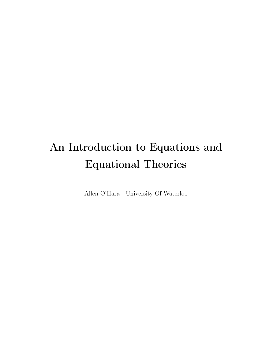# An Introduction to Equations and Equational Theories

Allen O'Hara - University Of Waterloo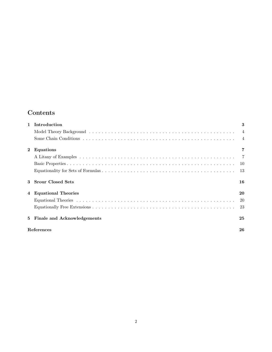# Contents

| $\mathbf{1}$   | Introduction                | 3    |
|----------------|-----------------------------|------|
|                |                             |      |
|                |                             |      |
| $\mathbf{2}$   | Equations                   |      |
|                |                             |      |
|                |                             |      |
|                |                             | - 13 |
| 3              | <b>Srour Closed Sets</b>    | 16   |
| $\overline{4}$ | <b>Equational Theories</b>  | 20   |
|                |                             | -20  |
|                |                             | 23   |
| 5.             | Finale and Acknowledgements | 25   |
|                | References                  | 26   |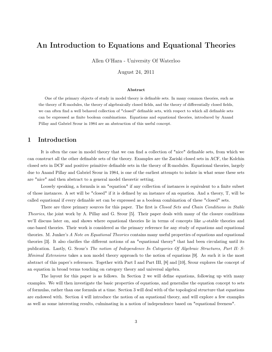## An Introduction to Equations and Equational Theories

Allen O'Hara - University Of Waterloo

August 24, 2011

#### Abstract

One of the primary objects of study in model theory is definable sets. In many common theories, such as the theory of R-modules, the theory of algebraically closed fields, and the theory of differentially closed fields, we can often find a well behaved collection of "closed" definable sets, with respect to which all definable sets can be expressed as finite boolean combinations. Equations and equational theories, introduced by Anand Pillay and Gabriel Srour in 1984 are an abstraction of this useful concept.

## 1 Introduction

It is often the case in model theory that we can find a collection of "nice" definable sets, from which we can construct all the other definable sets of the theory. Examples are the Zariski closed sets in ACF, the Kolchin closed sets in DCF and positive primitive definable sets in the theory of R-modules. Equational theories, largely due to Anand Pillay and Gabriel Srour in 1984, is one of the earliest attempts to isolate in what sense these sets are "nice" and then abstract to a general model theoretic setting.

Loosely speaking, a formula is an "equation" if any collection of instances is equivalent to a finite subset of those instances. A set will be "closed" if it is defined by an instance of an equation. And a theory, T, will be called equational if every definable set can be expressed as a boolean combination of these "closed" sets.

There are three primary sources for this paper. The first is *Closed Sets and Chain Conditions in Stable* Theories, the joint work by A. Pillay and G. Srour [5]. Their paper deals with many of the closure conditions we'll discuss later on, and shows where equational theories lie in terms of concepts like  $\omega$ -stable theories and one-based theories. Their work is considered as the primary reference for any study of equations and equational theories. M. Junker's A Note on Equational Theories contains many useful properties of equations and equational theories [3]. It also clarifies the different notions of an "equational theory" that had been circulating until its publication. Lastly, G. Srour's The notion of Independence In Categories Of Algebraic Structures, Part II: S-Minimal Extensions takes a non model theory approach to the notion of equations [9]. As such it is the most abstract of this paper's references. Together with Part I and Part III, [8] and [10], Srour explores the concept of an equation in broad terms touching on category theory and universal algebra.

The layout for this paper is as follows. In Section 2 we will define equations, following up with many examples. We will then investigate the basic properties of equations, and generalise the equation concept to sets of formulas, rather than one formula at a time. Section 3 will deal with of the topological structure that equations are endowed with. Section 4 will introduce the notion of an equational theory, and will explore a few examples as well as some interesting results, culminating in a notion of independence based on "equational freeness".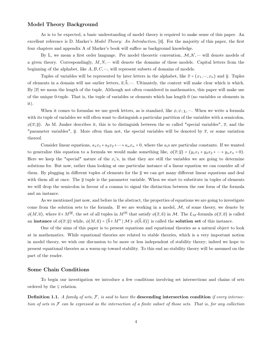#### Model Theory Background

As is to be expected, a basic understanding of model theory is required to make sense of this paper. An excellent reference is D. Marker's *Model Theory: An Introduction*, [4]. For the majority of this paper, the first four chapters and appendix A of Marker's book will suffice as background knowledge.

By L, we mean a first order language. Per model theoretic convention,  $M, N, \dots$  will denote models of a given theory. Correspondingly,  $M, N, \dots$  will denote the domains of these models. Capital letters from the beginning of the alphabet, like  $A, B, C, \dots$ , will represent subsets of domains of models.

Tuples of variables will be represented by later letters in the alphabet, like  $\bar{x} = (x_1, ..., x_n)$  and  $\bar{y}$ . Tuples of elements in a domain will use earlier letters,  $\overline{a}, \overline{b}, \dots$ . Ultimately, the context will make clear which is which. By  $|\overline{x}|$  we mean the length of the tuple. Although not often considered in mathematics, this paper will make use of the unique 0-tuple. That is, the tuple of variables or elements which has length 0 (no variables or elements in it).

When it comes to formulas we use greek letters, as is standard, like  $\phi, \psi, \chi, \dots$ . When we write a formula with its tuple of variables we will often want to distinguish a particular partition of the variables with a semicolon,  $\phi(\overline{x}; \overline{y})$ . As M. Junker describes it, this is to distinguish between the so called "special variables",  $\overline{x}$ , and the "parameter variables",  $\overline{y}$ . More often than not, the special variables will be denoted by  $\overline{x}$ , or some variation thereof.

Consider linear equations,  $a_1x_1 + a_2x_2 + \cdots + a_nx_n = 0$ , where the  $a_i$ s are particular constants. If we wanted to generalize this equation to a formula we would make something like,  $\phi(\overline{x}; \overline{y}) = (y_1x_1 + y_2x_2 + \cdots + y_nx_n = 0).$ Here we keep the "special" nature of the  $x_i$ 's, in that they are still the variables we are going to determine solutions for. But now, rather than looking at one particular instance of a linear equation we can consider all of them. By plugging in different tuples of elements for the  $\bar{y}$  we can get many different linear equations and deal with them all at once. The  $\bar{y}$  tuple is the parameter variable. When we start to substitute in tuples of elements we will drop the semicolon in favour of a comma to signal the distinction between the raw form of the formula and an instance.

As we mentioned just now, and before in the abstract, the properties of equations we are going to investigate come from the solution sets to the formula. If we are working in a model,  $M$ , of some theory, we denote by  $\phi(M,\overline{a})$ , where  $\overline{a} \in M^{|\overline{y}|}$ , the set of all tuples in  $M^{|\overline{x}|}$  that satisfy  $\phi(\overline{x},\overline{a})$  in M. The  $L_M$ -formula  $\phi(\overline{x},\overline{a})$  is called an instance of  $\phi(\overline{x}; \overline{y})$  while,  $\phi(M, \overline{a}) = {\overline{b} \in M^n \mid M \models \phi(\overline{b}, \overline{a})}$  is called the solution set of this instance.

One of the aims of this paper is to present equations and equational theories as a natural object to look at in mathematics. While equational theories are related to stable theories, which is a very important notion in model theory, we wish our discussion to be more or less independent of stability theory; indeed we hope to present equational theories as a warm-up toward stability. To this end no stability theory will be assumed on the part of the reader.

#### Some Chain Conditions

To begin our investigation we introduce a few conditions involving set intersections and chains of sets ordered by the ⊆ relation.

**Definition 1.1.** A family of sets,  $F$ , is said to have the descending intersection condition if every intersection of sets in  $\mathcal F$  can be expressed as the intersection of a finite subset of those sets. That is, for any collection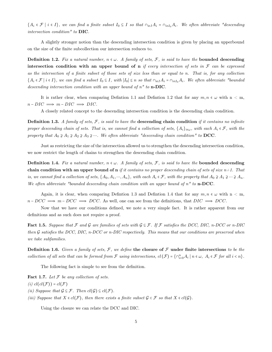${A_i \in \mathcal{F} \mid i \in I}$ , we can find a finite subset  $I_0 \subseteq I$  so that  $\cap_{i \in I} A_i = \cap_{i \in I_0} A_i$ . We often abbreviate "descending intersection condition" to DIC.

A slightly stronger notion than the descending intersection condition is given by placing an upperbound on the size of the finite subcollection our intersection reduces to.

**Definition 1.2.** Fix a natural number,  $n \in \omega$ . A family of sets, F, is said to have the **bounded descending** intersection condition with an upper bound of n if every intersection of sets in  $\mathcal F$  can be expressed as the intersection of a finite subset of those sets of size less than or equal to n. That is, for any collection  ${A_i \in \mathcal{F} \mid i \in I}$ , we can find a subset  $I_0 \subseteq I$ , with  $|I_0| \leq n$  so that  $\cap_{i \in I} A_i = \cap_{i \in I_0} A_i$ . We often abbreviate "bounded" descending intersection condition with an upper bound of  $n''$  to  $n-DIC$ .

It is rather clear, when comparing Defintion 1.1 and Defintion 1.2 that for any  $m, n \in \omega$  with  $n < m$ ,  $n - DIC \implies m - DIC \implies DIC.$ 

A closely related concept to the descending intersection condition is the descending chain condition.

**Definition 1.3.** A family of sets,  $F$ , is said to have the descending chain condition if it contains no infinite proper descending chain of sets. That is, we cannot find a collection of sets,  $\{A_i\}_{i\in\omega}$ , with each  $A_i \in \mathcal{F}$ , with the property that  $A_0 \supsetneq A_1 \supsetneq A_2 \supsetneq A_3 \supsetneq \cdots$ . We often abbreviate "descending chain condition" to **DCC**.

Just as restricting the size of the intersection allowed us to strengthen the descending intersection condition, we now restrict the length of chains to strengthen the descending chain condition.

**Definition 1.4.** Fix a natural number,  $n \in \omega$ . A family of sets, F, is said to have the **bounded descending** chain condition with an upper bound of n if it contains no proper descending chain of sets of size  $n+1$ . That is, we cannot find a collection of sets,  $\{A_0, A_1, \dots, A_n\}$ , with each  $A_i \in \mathcal{F}$ , with the property that  $A_0 \not\supseteq A_1 \not\supseteq \dots \not\supseteq A_n$ . We often abbreviate "bounded descending chain condition with an upper bound of  $n''$  to  $n\text{-}DCC$ .

Again, it is clear, when comparing Defintion 1.3 and Defintion 1.4 that for any  $m, n \in \omega$  with  $n < m$ ,  $n - DCC \implies m - DCC \implies DCC$ . As well, one can see from the definitions, that  $DIC \implies DCC$ .

Now that we have our conditions defined, we note a very simple fact. It is rather apparent from our definitions and as such does not require a proof.

Fact 1.5. Suppose that F and G are families of sets with  $G \subseteq \mathcal{F}$ . If F satisfies the DCC, DIC, n-DCC or n-DIC then  $G$  satisfies the DCC, DIC, n-DCC or n-DIC respectively. This means that our conditions are preserved when we take subfamilies.

**Definition 1.6.** Given a family of sets, F, we define the closure of F under finite intersections to be the collection of all sets that can be formed from  $\mathcal F$  using intersections,  $cl(\mathcal F) = \{ \cap_{i=0}^n A_i \mid n \in \omega, \ A_i \in \mathcal F$  for all  $i < n \}$ .

The following fact is simple to see from the definition.

**Fact 1.7.** Let  $F$  be any collection of sets. (i)  $cl(cl(\mathcal{F})) = cl(\mathcal{F})$ (ii) Suppose that  $\mathcal{G} \subseteq \mathcal{F}$ . Then  $cl(\mathcal{G}) \subseteq cl(\mathcal{F})$ .

(iii) Suppose that  $X \in cl(\mathcal{F})$ , then there exists a finite subset  $\mathcal{G} \subset \mathcal{F}$  so that  $X \in cl(\mathcal{G})$ .

Using the closure we can relate the DCC and DIC.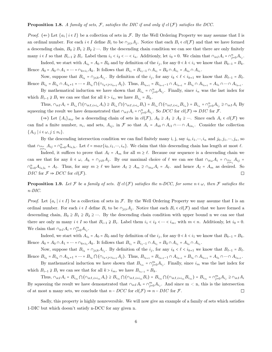#### **Proposition 1.8.** A family of sets, F, satisfies the DIC if and only if  $cl(F)$  satisfies the DCC.

*Proof.* ( $\Leftarrow$ ) Let  $\{a_i \mid i \in I\}$  be a collection of sets in F. By the Well Ordering Property we may assume that I is an ordinal number. For each  $i \in I$  define  $B_i$  to be  $\cap_{j\leq i}A_j$ . Notice that each  $B_i \in cl(\mathcal{F})$  and that we have formed a descending chain,  $B_0 \supseteq B_1 \supseteq B_2 \supseteq \cdots$ . By the descending chain condition we can see that there are only finitely many  $i \in I$  so that  $B_{i-1} \nsubseteq B_i$ . Label them  $i_1 < i_2 < \cdots < i_n$ . Additionly, let  $i_0 = 0$ . We claim that  $\cap_{i \in I} A_i = \cap_{j=0}^n A_{i_j}$ .

Indeed, we start with  $A_{i_0} = A_0 = B_0$  and by definition of the  $i_j$ , for any  $0 < k < i_1$  we know that  $B_{k-1} = B_k$ . Hence  $A_0 = A_0 \cap A_1 = \dots = \cap_{k \le i_1} A_k$ . It follows that  $B_{i_1} = B_{i_1 - 1} \cap A_{i_1} = B_0 \cap A_{i_1} = A_{i_0} \cap A_{i_1}$ .

Now, suppose that  $B_{i_k} = \cap_{j \leq k} A_{i_j}$ . By definition of the  $i_j$ , for any  $i_k < \ell < i_{k+1}$  we know that  $B_{\ell-1} = B_{\ell}$ . Hence  $B_{i_k} = B_{i_k} \cap A_{i_k+1} = \dots = B_{i_k} \cap (\cap_{i_k < j < i_{k+1}} A_j)$ . Thus,  $B_{i_{k+1}} = B_{i_{k+1}-1} \cap A_{i_{k+1}} = B_{i_k} \cap A_{i_{k+1}} = A_{i_0} \cap \dots \cap A_{i_{k+1}}$ .

By mathematical induction we have shown that  $B_{i_n} = \bigcap_{j=0}^n A_{i_j}$ . Finally, since  $i_n$  was the last index for which  $B_{i-1} \nsubseteq B_i$  we can see that for all  $k > i_n$ , we have  $B_{i_n} = B_k$ .

Thus,  $\bigcap_{i\in I} A_i = B_{i_n} \bigcap (\bigcap_{i\in I, i>i_n} A_i) \supseteq B_{i_n} \bigcap (\bigcap_{i\in I, i>i_n} B_i) = B_{i_n} \bigcap (\bigcap_{i\in I, i>i_n} B_{i_n}) = B_{i_n} = \bigcap_{j=0}^n A_{i_j} \supseteq \bigcap_{i\in I} A_i$  By squeezing the result we have demonstrated that  $\cap_{i\in I} A_i = \cap_{j=0}^n A_{i_j}$ . So  $DCC$  for  $cl(\mathcal{F}) \Rightarrow DIC$  for  $\mathcal{F}$ .

 $(\Rightarrow)$  Let  $\{A_i\}_{i\in\omega}$  be a descending chain of sets in  $cl(\mathcal{F})$ ,  $A_0 \supseteq A_1 \supseteq A_2 \supseteq \cdots$ . Since each  $A_i \in cl(\mathcal{F})$  we can find a finite number,  $n_i$ , and sets,  $A_{ij}$ , in F so that  $A_i = A_{i0} \cap A_{i1} \cap \cdots \cap A_{in_i}$ . Consider the collection  ${A_{ij} \mid i \in \omega, j \leq n_i}.$ 

By the descending intersection condition we can find finitely many i, j, say  $i_0, i_1, ..., i_n$  and  $j_0, j_1, ..., j_n$ , so that  $\bigcap_{j\leq n_i} A_{ij} = \bigcap_{k=0}^n A_{i_kj_k}$ . Let  $\ell = max\{i_0, i_1, \dots, i_n\}$ . We claim that this descending chain has length at most  $\ell$ .

Indeed, it suffices to prove that  $A_\ell = A_m$  for all  $m \geq \ell$ . Because our sequence is a descending chain we can see that for any  $k \in \omega$ ,  $A_k = \cap_{j \leq k} A_j$ . By our maximal choice of  $\ell$  we can see that  $\cap_{i \in \omega} A_i = \cap_{j \leq n_i} A_{ij} =$  $\cap_{k=0}^{n} A_{i_kj_k} = A_{\ell}$ . Thus, for any  $m \geq \ell$  we have  $A_{\ell} \supseteq A_m \supseteq \cap_{i \in \omega} A_i = A_{\ell}$ . and hence  $A_{\ell} = A_m$  as desired. So DIC for  $\mathcal{F} \Rightarrow DCC$  for  $cl(\mathcal{F})$ .

**Proposition 1.9.** Let F be a family of sets. If  $cl(\mathcal{F})$  satisfies the n-DCC, for some  $n \in \omega$ , then F satisfies the n-DIC.

*Proof.* Let  $\{a_i \mid i \in I\}$  be a collection of sets in F. By the Well Ordering Property we may assume that I is an ordinal number. For each  $i \in I$  define  $B_i$  to be  $\cap_{j\leq i}A_j$ . Notice that each  $B_i \in cl(\mathcal{F})$  and that we have formed a descending chain,  $B_0 \supseteq B_1 \supseteq B_2 \supseteq \cdots$ . By the descending chain condition with upper bound n we can see that there are only m many  $i \in I$  so that  $B_{i-1} \supsetneq B_i$ . Label them  $i_1 < i_2 < \cdots < i_m$ , with  $m < n$ . Additionly, let  $i_0 = 0$ . We claim that  $\cap_{i\in I} A_i = \cap_{j=0}^m A_{i_j}$ .

Indeed, we start with  $A_{i_0} = A_0 = B_0$  and by definition of the  $i_j$ , for any  $0 < k < i_1$  we know that  $B_{k-1} = B_k$ . Hence  $A_0 = A_0 \cap A_1 = \dots = \cap_{k \le i_1} A_k$ . It follows that  $B_{i_1} = B_{i_1 - 1} \cap A_{i_1} = B_0 \cap A_{i_1} = A_{i_0} \cap A_{i_1}$ .

Now, suppose that  $B_{i_k} = \cap_{j \leq k} A_{i_j}$ . By definition of the  $i_j$ , for any  $i_k < \ell < i_{k+1}$  we know that  $B_{\ell-1} = B_{\ell}$ . Hence  $B_{i_k} = B_{i_k} \cap A_{i_k+1} = \dots = B_{i_k} \cap (\cap_{i_k < j < i_{k+1}} A_j)$ . Thus,  $B_{i_{k+1}} = B_{i_{k+1}-1} \cap A_{i_{k+1}} = B_{i_k} \cap A_{i_{k+1}} = A_{i_0} \cap \dots \cap A_{i_{k+1}}$ .

By mathematical induction we have shown that  $B_{i_m} = \cap_{j=0}^m A_{i_j}$ . Finally, since  $i_m$  was the last index for which  $B_{i-1} \nsubseteq B_i$  we can see that for all  $k > i_m$ , we have  $B_{i_{n-1}} = B_k$ .

Thus,  $\bigcap_{i\in I} A_i = B_{i_m} \bigcap (\bigcap_{i\in I, i>i_m} A_i) \supseteq B_{i_m} \bigcap (\bigcap_{i\in I, i>i_m} B_i) = B_{i_m} \bigcap (\bigcap_{i\in I, i>i_m} B_{i_m}) = B_{i_m} = \bigcap_{j=0}^m A_{i_j} \supseteq \bigcap_{i\in I} A_i$ By squeezing the result we have demonstrated that  $\cap_{i\in I} A_i = \cap_{j=0}^m A_{i_j}$ . And since  $m < n$ , this is the intersection of at most n many sets, we conclude that  $n - DCC$  for  $cl(\mathcal{F}) \Rightarrow n - DIC$  for  $\mathcal{F}$ .  $\Box$ 

Sadly, this property is highly nonreversible. We will now give an example of a family of sets which satisfies 1-DIC but which doesn't satisfy n-DCC for any given n.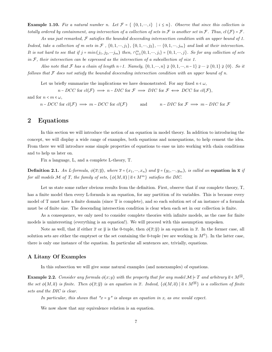**Example 1.10.** Fix a natural number n. Let  $\mathcal{F} = \{ \{0, 1, \dots, i\} \mid i \leq n \}$ . Observe that since this collection is totally ordered by containment, any intersection of a collection of sets in  $\mathcal F$  is another set in  $\mathcal F$ . Thus, cl  $(\mathcal F) = \mathcal F$ .

As was just remarked,  $\mathcal F$  satisfies the bounded descending interesection condition with an upper bound of 1. Indeed, take a collection of m sets in F,  $\{0, 1, \cdots, j_1\}$ ,  $\{0, 1, \cdots, j_2\}$ ,  $\cdots$   $\{0, 1, \cdots, j_m\}$  and look at their intersection. It is not hard to see that if  $j = min(j_1, j_2, \dots j_m)$  then,  $\cap_{i=1}^m \{0, 1, \dots, j_i\} = \{0, 1, \dots, j\}$ . So for any collection of sets in  $F$ , their intersection can be expressed as the intersection of a subcollection of size 1.

Also note that F has a chain of length n+1. Namely,  $\{0, 1, \dots, n\} \supsetneq \{0, 1, \dots, n-1\} \supsetneq \dots \supsetneq \{0, 1\} \supsetneq \{0\}$ . So it follows that  $\mathcal F$  does not satisfy the bounded descending intersection condition with an upper bound of n.

Let us briefly summarize the implications we have demonstrated. For any fixed  $n \in \omega$ ,

 $n - DCC$  for  $cl(\mathcal{F}) \implies n - DIC$  for  $\mathcal{F} \implies DIC$  for  $\mathcal{F} \iff DCC$  for  $cl(\mathcal{F}),$ 

and for  $n < m \in \omega$ ,

 $n - DCC$  for  $cl(\mathcal{F}) \implies m - DCC$  for  $cl(\mathcal{F})$  and  $n - DIC$  for  $\mathcal{F} \implies m - DIC$  for  $\mathcal{F}$ 

### 2 Equations

In this section we will introduce the notion of an equation in model theory. In addition to introducing the concept, we will display a wide range of examples, both equations and nonequations, to help cement the idea. From there we will introduce some simple properties of equations to ease us into working with chain conditions and to help us later on.

Fix a language, L, and a complete L-theory, T.

**Definition 2.1.** An L-formula,  $\phi(\overline{x}; \overline{y})$ , where  $\overline{x} = (x_1, \dots, x_n)$  and  $\overline{y} = (y_1, \dots, y_m)$ , is called an equation in  $\overline{x}$  if for all models M of T, the family of sets,  $\{\phi(M,\overline{a}) \mid \overline{a} \in M^m\}$  satisfies the DIC.

Let us state some rather obvious results from the definition. First, observe that if our complete theory, T, has a finite model then every L-formula is an equation, for any partition of its variables. This is because every model of T must have a finite domain (since T is complete), and so each solution set of an instance of a formula must be of finite size. The descending intersection condition is clear when each set in our collection is finite.

As a consequence, we only need to consider complete theories with infinite models, as the case for finite models is uninteresting (everything is an equation!). We will proceed with this assumption unspoken.

Note as well, that if either  $\bar{x}$  or  $\bar{y}$  is the 0-tuple, then  $\phi(\bar{x}; \bar{y})$  is an equation in  $\bar{x}$ . In the former case, all solution sets are either the emptyset or the set containing the 0-tuple (we are working in  $M<sup>0</sup>$ ). In the latter case, there is only one instance of the equation. In particular all sentences are, trivially, equations.

#### A Litany Of Examples

In this subsection we will give some natural examples (and nonexamples) of equations.

**Example 2.2.** Consider any formula  $\phi(x; y)$  with the property that for any model  $\mathcal{M} \models T$  and arbitrary  $\overline{a} \in M^{|\overline{y}|}$ , the set  $\phi(M,\overline{a})$  is finite. Then  $\phi(\overline{x};\overline{y})$  is an equation in  $\overline{x}$ . Indeed,  $\{\phi(M,\overline{a}) \mid \overline{a} \in M^{|\overline{y}|}\}\$ is a collection of finite sets and the DIC is clear.

In particular, this shows that " $x = y$ " is always an equation in x, as one would expect.

We now show that any equivalence relation is an equation.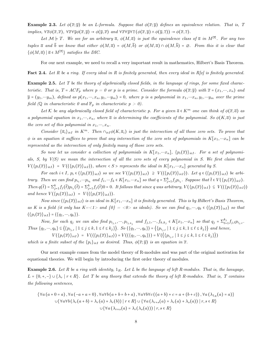**Example 2.3.** Let  $\phi(\overline{x}; \overline{y})$  be an L-formula. Suppose that  $\phi(\overline{x}; \overline{y})$  defines an equivalence relation. That is, T implies,  $\forall \overline{x} \phi(\overline{x}, \overline{x})$ ,  $\forall \overline{x} \forall \overline{y} \phi(\overline{x}, \overline{y}) \rightarrow \phi(\overline{y}, \overline{x})$  and  $\forall \overline{x} \forall \overline{y} \forall \overline{z} (\phi(\overline{x}, \overline{y}) \land \phi(\overline{y}, \overline{z})) \rightarrow \phi(\overline{x}, \overline{z})$ .

Let  $\mathcal{M} \models T$ . We see for an arbitrary  $\overline{a}$ ,  $\phi(M, \overline{a})$  is just the equivalence class of  $\overline{a}$  in  $M^{|\overline{x}|}$ . For any two tuples  $\bar{a}$  and  $\bar{b}$  we know that either  $\phi(M,\bar{a}) = \phi(M,\bar{b})$  or  $\phi(M,\bar{a}) \cap \phi(M,\bar{b}) = \emptyset$ . From this it is clear that  $\{\phi(M,\overline{a})\mid \overline{a} \in M^{|\overline{x}|}\}\$  satisfies the DIC.

For our next example, we need to recall a very important result in mathematics, Hilbert's Basis Theorem.

**Fact 2.4.** Let R be a ring. If every ideal in R is finitely generated, then every ideal in R[x] is finitely generated.

Example 2.5. Let T be the theory of algebraically closed fields, in the language of rings, for some fixed characteristic. That is,  $T = ACF_p$  where  $p = 0$  or p is a prime. Consider the formula  $\phi(\overline{x}; \overline{y})$  with  $\overline{x} = (x_1, ..., x_n)$  and  $\overline{y} = (y_1, \dots y_m)$ , defined as  $p(x_1, \dots, x_n, y_1, \dots y_m) = 0$ , where p is a polynomial in  $x_1, \dots, x_n, y_1, \dots y_m$  over the prime field (Q in characteristic 0 and  $\mathbb{F}_p$  in characteristic  $p > 0$ ).

Let K be any algebraically closed field of characteristic p. For a given  $\bar{a} \in K^m$  one can think of  $\phi(\bar{x}, \bar{a})$  as a polynomial equation in  $x_1, ..., x_n$ , where  $\overline{a}$  is determining the coefficients of the polynomial. So  $\phi(K, \overline{a})$  is just the zero set of this polynomial in  $x_1, ..., x_n$ .

Consider  $\{\overline{a}_i\}_{i\in I}$  in  $K^m$ . Then  $\cap_{i\in I}\phi(K,\overline{a}_i)$  is just the intersection of all those zero sets. To prove that  $\phi$  is an equation it suffices to prove that any intersection of the zero sets of polynomials in  $K[x_1, ... x_n]$  can be represented as the intersection of only finitely many of those zero sets.

So now let us consider a collection of polynomials in  $K[x_1,...x_n]$ ,  $\{p_i(\overline{x})\}_{i\in I}$ . For a set of polynomials, S, by  $V(S)$  we mean the intersection of all the zero sets of every polynomial in S. We first claim that  $V(\{p_i(\overline{x})\}_{i\in I}) = V(\langle \{p_i(\overline{x})\}_{i\in I}\rangle)$ , where  $\langle S \rangle$  represents the ideal in  $K[x_1, \dots, x_n]$  generated by S.

For each  $i \in I$ ,  $p_i \in \langle \{p_i(\overline{x})\}_{i\in I}\rangle$  so we see  $V(\{p_i(\overline{x})\}_{i\in I}) \supseteq V(\langle \{p_i(\overline{x})\}_{i\in I}\rangle)$ . Let  $q \in \langle \{p_i(\overline{x})\}_{i\in I}\rangle$  be arbitrary. Then we can find  $p_{i_1}, \dots p_{i_k}$  and  $f_1, \dots f_k \in K[x_1, \dots x_n]$  so that  $q = \sum_{j=1}^k f_j p_{i_j}$ . Suppose that  $\overline{t} \in V(\{p_i(\overline{x})\}_{i \in I})$ . Then  $q(\bar{t}) = \sum_{j=1}^k f_j(\bar{t}) p_{i_j}(\bar{t}) = \sum_{j=1}^k f_j(\bar{t}) 0 = 0$ . It follows that since q was arbitrary,  $V(\{p_i(\bar{x})\}_{i \in I}) \subseteq V(\langle \{p_i(\bar{x})\}_{i \in I}) \rangle$ and hence  $V(\{p_i(\overline{x})\}_{i\in I}) = V(\langle \{p_i(\overline{x})\}_{i\in I} \rangle).$ 

Now since  $\langle \{p_i(\overline{x})\}_{i\in I}\rangle$  is an ideal in  $K[x_1, ... x_n]$  it is finitely generated. This is by Hilbert's Basis Theorem, as K is a field (it only has  $K=<1>$  and  $\{0\}=<0>$  as ideals). So we can find  $q_1,\dots,q_k \in \{\{p_i(\overline{x})\}_{i\in I}\}\$  so that  $\langle \{p_i(\overline{x})\}_{i\in I} \rangle = \langle \{q_1, \dots, q_k\} \rangle.$ 

Now, for each  $q_j$  we can also find  $p_{i_{j,1}}, \dots, p_{i_{j,k_j}}$  and  $f_{j,1}, \dots, f_{k,k_j} \in K[x_1, \dots x_n]$  so that  $q_j = \sum_{\ell=1}^{k_j}$  $\int_{\ell=1}^{\kappa_j} f_{j,\ell} p_{i_{j,\ell}}$ . Thus  $\{q_1, \dots, q_k\} \subseteq \langle \{p_{i_{i,\ell}} \mid 1 \leq j \leq k, 1 \leq \ell \leq k_j\} \rangle$ . So  $\langle \{q_1, \dots, q_k\} \rangle = \langle \{p_{i_{j,\ell}} \mid 1 \leq j \leq k, 1 \leq \ell \leq k_j\} \rangle$  and hence,

 $V(\{p_i(\overline{x})\}_{i\in I}) = V(\langle \{p_i(\overline{x})\}_{i\in I}\rangle) = V(\langle \{q_1, \dots, q_k\}\rangle) = V(\langle \{p_{i_{j,\ell}} | 1 \leq j \leq k, 1 \leq \ell \leq k_j\}\rangle)$ 

which is a finite subset of the  $\{p_i\}_{i\in I}$  as desired. Thus,  $\phi(\overline{x}; \overline{y})$  is an equation in  $\overline{x}$ .

Our next example comes from the model theory of R-modules and was part of the original motivation for equational theories. We will begin by introducing the first order theory of modules.

**Example 2.6.** Let R be a ring with identity,  $1_R$ . Let L be the language of left R-modules. That is, the lanugage,  $L = \{0, +, -\} \cup \{\lambda_r \mid r \in R\}$ . Let T be any theory that extends the theory of left R-modules. That is, T contains the following sentences,

$$
\{\forall a (a + 0 = a), \forall a (-a + a = 0), \forall a \forall b (a + b = b + a), \forall a \forall b \forall c ((a + b) + c = a + (b + c)), \forall a (\lambda_{1_R}(a) = a)\}
$$
  

$$
\cup \{\forall a \forall b (\lambda_r(a + b) = \lambda_r(a) + \lambda_r(b)) \mid r \in R\} \cup \{\forall a (\lambda_{r+s}(a) = \lambda_r(a) + \lambda_s(a)) \mid r, s \in R\}
$$
  

$$
\cup \{\forall a (\lambda_{r+s}(a) = \lambda_r(\lambda_s(a))) \mid r, s \in R\}
$$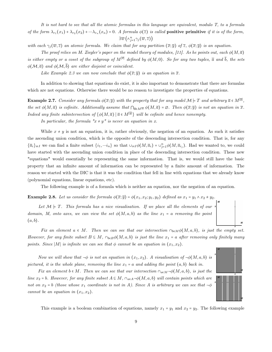It is not hard to see that all the atomic formulas in this language are equivalent, modulo T, to a formula of the form  $\lambda_{r_1}(x_1) + \lambda_{r_2}(x_2) + \cdots + \lambda_{r_n}(x_n) = 0$ . A formula  $\phi(\overline{z})$  is called **positive primitive** if it is of the form,  $\exists \overline{w} \left( \wedge_{j=1}^n \gamma_j(\overline{w},\overline{z}) \right)$ 

with each  $\gamma_i(\overline{w}, \overline{z})$  an atomic formula. We claim that for any partition  $(\overline{x}; \overline{y})$  of  $\overline{z}$ ,  $\phi(\overline{x}; \overline{y})$  is an equation.

The proof relies on M. Ziegler's paper on the model theory of modules, [11]. As he points out, each  $\phi(M,\overline{a})$ is either empty or a coset of the subgroup of  $M^{[\overline{x}]}$  defined by  $\phi(M,0)$ . So for any two tuples,  $\overline{a}$  and  $\overline{b}$ , the sets  $\phi(\mathcal{M}, \overline{a})$  and  $\phi(\mathcal{M}, \overline{b})$  are either disjoint or coincident.

Like Example 2.3 we can now conclude that  $\phi(\overline{x}; \overline{y})$  is an equation in  $\overline{x}$ .

In addition to showing that equations do exist, it is also important to demonstrate that there are formulas which are not equations. Otherwise there would be no reason to investigate the properties of equations.

**Example 2.7.** Consider any formula  $\phi(\overline{x}; \overline{y})$  with the property that for any model  $\mathcal{M} \models T$  and arbitrary  $\overline{a} \in M^{|\overline{y}|}$ , the set  $\phi(M,\overline{a})$  is cofinite. Additionally assume that  $\bigcap_{\overline{a}\in M[\overline{y}]} \phi(M,\overline{a}) = \emptyset$ . Then  $\phi(\overline{x};\overline{y})$  is not an equation in  $\overline{x}$ . Indeed any finite subintersection of  $\{\phi(M,\overline{a})\mid \overline{a} \in M^{|\overline{y}|}\}\$  will be cofinite and hence nonempty.

In particular, the formula " $x \neq y$ " is never an equation in x.

While  $x \neq y$  is not an equation, it is, rather obviously, the negation of an equation. As such it satisfies the ascending union condition, which is the opposite of the descending intersection condition. That is, for any  ${\overline{a}}_i\}_{i\in I}$  we can find a finite subset  $\{i_1, \dots, i_n\}$  so that  $\cup_{i\in I}\phi(M, {\overline{a}}_i) = \cup_{j=1}^n \phi(M, {\overline{a}}_{i_j})$ . Had we wanted to, we could have started with the ascending union condition in place of the descending intersection condition. These new "equations" would essentially be representing the same information. That is, we would still have the basic property that an infinite amount of information can be represented by a finite amount of information. The reason we started with the DIC is that it was the condition that fell in line with equations that we already know (polynomial equations, linear equations, etc).

The following example is of a formula which is neither an equation, nor the negation of an equation.

**Example 2.8.** Let us consider the formula  $\phi(\overline{x}; \overline{y}) = \phi(x_1, x_2; y_1, y_2)$  defined as  $x_1 = y_1 \wedge x_2 \neq y_2$ .

Let  $M \models T$ . This formula has a nice visualisation. If we place all the elements of our domain, M, onto axes, we can view the set  $\phi(M, a, b)$  as the line  $x_1 = a$  removing the point  $(a, b).$ 

Fix an element  $a \in M$ . Then we can see that our intersection  $\bigcap_{b \in M} \phi(M, a, b)$ , is just the empty set. However, for any finite subset  $B \subseteq M$ ,  $\cap_{b \in B} \phi(M, a, b)$  is just the line  $x_1 = a$  after removing only finitely many points. Since |M| is infinite we can see that  $\phi$  cannot be an equation in  $(x_1, x_2)$ .

Now we will show that  $\neg \phi$  is not an equation in  $(x_1, x_2)$ . A visualisation of  $\neg \phi(M, a, b)$  is pictured, it is the whole plane, removing the line  $x_1 = a$  and adding the point  $(a, b)$  back in.

Fix an element  $b \in M$ . Then we can see that our intersection  $\cap_{a \in M} \neg \phi(M, a, b)$ , is just the line  $x_2 = b$ . However, for any finite subset  $A \subseteq M$ ,  $\cap_{a \in A} \neg \phi(M, a, b)$  will contain points which are not on  $x_2 = b$  (those whose  $x_1$  coordinate is not in A). Since A is arbitrary we can see that  $\neg \phi$ cannot be an equation in  $(x_1, x_2)$ .



This example is a boolean combination of equations, namely  $x_1 = y_1$  and  $x_2 = y_2$ . The following example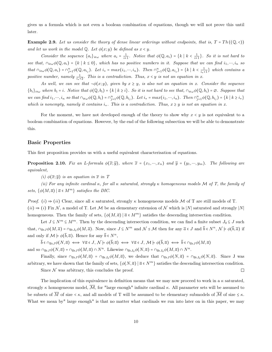gives us a formula which is not even a boolean combination of equations, though we will not prove this until later.

**Example 2.9.** Let us consider the theory of dense linear orderings without endpoints, that is,  $T = Th((\mathbb{Q}, <))$ and let us work in the model  $\mathbb Q$ . Let  $\phi(x; y)$  be defined as  $x < y$ .

Consider the sequence  $\{a_i\}_{i\in\omega}$  where  $a_i = \frac{1}{i+1}$ . Notice that  $\phi(\mathbb{Q}, a_i) = \{k \mid k \leq \frac{1}{i+1}\}$ . So it is not hard to see that,  $\cap_{i\in\omega}\phi(\mathbb{Q},a_i) = \{k \mid k \leq 0\}$ , which has no positive numbers in it. Suppose that we can find  $i_1,\dots,i_n$  so that  $\cap_{i\in\omega}\phi(\mathbb{Q},a_i)=\cap_{j=1}^n\phi(\mathbb{Q},a_{i_j})$ . Let  $i_* = max(i_1,\dots,i_n)$ . Then  $\cap_{j=1}^n\phi(\mathbb{Q},a_{i_j})=\{k \mid k < \frac{1}{i_*+1}\}\$  which contains a positive number, namely  $\frac{1}{i_*+2}$ . This is a contradiction. Thus,  $x < y$  is not an equation in x.

As well, we can see that  $\neg \phi(x; y)$ , given by  $x \geq y$ , is also not an equation in x. Consider the sequence  ${b_i}_{i\in\omega}$  where  $b_i = i$ . Notice that  $\phi(\mathbb{Q}, b_i) = \{k \mid k \geq i\}$ . So it is not hard to see that,  $\cap_{i\in\omega}\phi(\mathbb{Q}, b_i) = \emptyset$ . Suppose that we can find  $i_1, \dots, i_n$  so that  $\cap_{i \in \omega} \phi(\mathbb{Q}, b_i) = \cap_{j=1}^n \phi(\mathbb{Q}, b_{i_j})$ . Let  $i_* = max(i_1, \dots, i_n)$ . Then  $\cap_{j=1}^n \phi(\mathbb{Q}, b_{i_j}) = \{k \mid k \geq i_*\}$ which is nonempty, namely it contains  $i_{*}$ . This is a contradiction. Thus,  $x \geq y$  is not an equation in x.

For the moment, we have not developed enough of the theory to show why  $x \leq y$  is not equivalent to a boolean combination of equations. However, by the end of the following subsection we will be able to demonstrate this.

#### Basic Properties

This first proposition provides us with a useful equivalent characterisation of equations.

**Proposition 2.10.** Fix an L-formula  $\phi(\overline{x}; \overline{y})$ , where  $\overline{x} = (x_1, ..., x_n)$  and  $\overline{y} = (y_1, ..., y_m)$ . The following are equivalent,

(i)  $\phi(\overline{x}; \overline{y})$  is an equation in  $\overline{x}$  in T

(ii) For any infinite cardinal  $\kappa$ , for all  $\kappa$  saturated, strongly  $\kappa$  homogeneous models M of T, the family of sets,  $\{\phi(M,\overline{a}) \mid \overline{a} \in M^m\}$  satisfies the DIC.

Proof. (i)  $\Rightarrow$  (ii) Clear, since all  $\kappa$  saturated, strongly  $\kappa$  homogeneous models M of T are still models of T.  $(ii) \Rightarrow (i)$  Fix N, a model of T. Let M be an elementary extension of N which is |N| saturated and strongly |N| homogeneous. Then the family of sets,  $\{\phi(M,\overline{a}) \mid \overline{a} \in M^m\}$  satisfies the descending intersection condition.

Let  $J \subseteq N^m \subseteq M^m$ . Then by the descending intersection condition, we can find a finite subset  $J_0 \subseteq J$  such that,  $\cap_{\overline{a}\in J}\phi(M,\overline{a})=\cap_{\overline{a}\in J_0}\phi(M,\overline{a})$ . Now, since  $J\subseteq N^m$  and  $\mathcal{N}\leq \mathcal{M}$  then for any  $\overline{a}\in J$  and  $\overline{b}\in N^n$ ,  $\mathcal{N}\models \phi(\overline{b},\overline{a})$  if and only if  $\mathcal{M} \models \phi(\bar{b}, \bar{a})$ . Hence for any  $\bar{b} \in N^n$ ,

 $\overline{b} \in \cap_{\overline{a} \in J} \phi(N, \overline{a}) \iff \forall \overline{a} \in J, \, \mathcal{N} \models \phi(\overline{b}; \overline{a}) \iff \forall \overline{a} \in J, \, \mathcal{M} \models \phi(\overline{b}, \overline{a}) \iff \overline{b} \in \cap_{\overline{a} \in J} \phi(M, \overline{a})$ and so  $\cap_{\overline{a}\in J}\phi(N,\overline{a}) = \cap_{\overline{a}\in J}\phi(M,\overline{a}) \cap N^n$ . Likewise  $\cap_{\overline{a}\in J_0}\phi(N,\overline{a}) = \cap_{\overline{a}\in J_0}\phi(M,\overline{a}) \cap N^n$ .

Finally, since  $\cap_{\overline{a}\in J}\phi(M,\overline{a}) = \cap_{\overline{a}\in J_0}\phi(M,\overline{a})$ , we deduce that  $\cap_{\overline{a}\in J}\phi(N,\overline{a}) = \cap_{\overline{a}\in J_0}\phi(N,\overline{a})$ . Since J was arbitrary, we have shown that the family of sets,  $\{\phi(N,\overline{a}) \mid \overline{a} \in N^m\}$  satisfies the descending intersection condition.  $\Box$ 

Since  $\mathcal N$  was arbitrary, this concludes the proof.

The implication of this equivalence in definition means that we may now proceed to work in a  $\kappa$  saturated, strongly  $\kappa$  homogeneous model,  $\overline{\mathcal{M}}$ , for "large enough" infinite cardinal  $\kappa$ . All parameter sets will be assumed to be subsets of  $\overline{M}$  of size  $\leq \kappa$ , and all models of T will be assumed to be elementary submodels of  $\overline{M}$  of size  $\leq \kappa$ . What we mean by" large enough" is that no matter what cardinals we run into later on in this paper, we may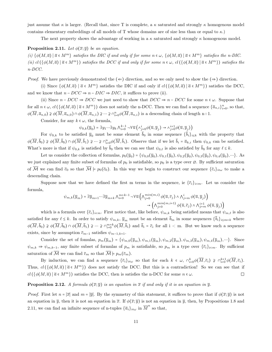just assume that  $\kappa$  is larger. (Recall that, since T is complete, a  $\kappa$  saturated and strongly  $\kappa$  homogenous model contains elementary embeddings of all models of T whose domains are of size less than or equal to  $\kappa$ .)

The next property shows the advantage of working in a  $\kappa$  saturated and strongly  $\kappa$  homogenous model.

#### **Proposition 2.11.** Let  $\phi(\overline{x}; \overline{y})$  be an equation.

(i)  $\{\phi(M,\overline{a}) \mid \overline{a} \in M^m\}$  satisfies the DIC if and only if for some  $n \in \omega$ ,  $\{\phi(M,\overline{a}) \mid \overline{a} \in M^m\}$  satisfies the n-DIC. (ii) cl  $(\{\phi(M,\overline{a}) \mid \overline{a} \in M^m \})$  satisfies the DCC if and only if for some  $n \in \omega$ , cl  $(\{\phi(M,\overline{a}) \mid \overline{a} \in M^m \})$  satisfies the n-DCC.

*Proof.* We have previously demonstrated the  $(\Leftarrow)$  direction, and so we only need to show the  $(\Rightarrow)$  direction.

(i) Since  $\{\phi(M,\overline{a}) \mid \overline{a} \in M^m\}$  satisfies the DIC if and only if  $cl(\{\phi(M,\overline{a}) \mid \overline{a} \in M^m\})$  satisfies the DCC, and we know that  $n - DCC \Rightarrow n - DIC \Rightarrow DIC$ , it suffices to prove (ii).

(ii) Since  $n - DCC \Rightarrow DCC$  we just need to show that  $DCC \Rightarrow n - DCC$  for some  $n \in \omega$ . Suppose that for all  $n \in \omega$ ,  $cl$   $(\{\phi(M, \overline{a}) \mid \overline{a} \in M^m\})$  does not satisfy the n-DCC. Then we can find a sequence  $\{\overline{a}_{n,i}\}_{i=0}^n$ , so that,  $\phi(\overline{M}, \overline{a}_{n,0}) \ncong \phi(\overline{M}, \overline{a}_{n,0}) \cap \phi(\overline{M}, \overline{a}_{n,1}) \ncong \cdots \ncong \bigcap_{i=0}^{n} \phi(\overline{M}, \overline{a}_{n,i})$  is a descending chain of length n+1.

Consider, for any  $k \in \omega$ , the formula,

$$
\psi_{0,k}(\overline{y}_0) = \exists y_1 \cdots \exists y_k \bigwedge_{i=0}^{k-1} \neg \forall \overline{u} \left( \wedge_{\underline{j}=0}^{i} \phi(\overline{u}, \overline{y}_j) \rightarrow \wedge_{\underline{j}=0}^{i+1} \phi(\overline{u}, \overline{y}_j) \right)
$$

For  $\psi_{0,k}$  to be satisfied  $\bar{y}_0$  must be some element  $b_0$  in some sequence  $\{b_i\}_{i\leq k}$  with the property that  $\phi(\overline{M}, \overline{b}_0) \ncong \phi(\overline{M}, \overline{b}_0) \cap \phi(\overline{M}, \overline{b}_1) \ncong \cdots \ncong \bigcap_{i=0}^n \phi(\overline{M}, \overline{b}_i)$ . Observe that if we let  $\overline{b}_i = \overline{a}_{k,i}$  then  $\psi_{0,k}$  can be satisfied. What's more is that if  $\psi_{0,k}$  is satisfied by  $\bar{b}_0$  then we can see that  $\psi_{0,\ell}$  is also satisfied by  $\bar{b}_0$  for any  $\ell \leq k$ .

Let us consider the collection of formulas,  $p_0(\overline{y}_0) = \{\psi_{0,0}(\overline{y}_0), \psi_{0,1}(\overline{y}_0), \psi_{0,2}(\overline{y}_0), \psi_{0,3}(\overline{y}_0), \psi_{0,4}(\overline{y}_0), \cdots\}$ . As we just explained any finite subset of formulas of  $p_0$  is satisfiable, so  $p_0$  is a type over  $\varnothing$ . By sufficient saturation of  $\overline{\mathcal{M}}$  we can find  $\overline{c}_0$  so that  $\overline{\mathcal{M}} \models p_0(\overline{c}_0)$ . In this way we begin to construct our sequence  $\{\overline{c}_i\}_{i\in\omega}$  to make a descending chain.

Suppose now that we have defined the first m terms in the sequence, ie  $\{\bar{c}_i\}_{i \leq m}$ . Let us consider the formula,

$$
\psi_{m,k}(\overline{y}_m) = \exists \overline{y}_{m+1} \cdots \exists \overline{y}_{m+k} \land_{i=0}^{m+k-1} \neg \forall \overline{u} \left( \land_{j=0}^{min(m,i)} \phi(\overline{u}, \overline{c}_j) \land \land_{j=m}^{i} \phi(\overline{u}, \overline{y}_j) \right) \\
\rightarrow \left( \land_{j=0}^{min(m,i+1)} \phi(\overline{u}, \overline{c}_j) \land \land_{j=m}^{i+1} \phi(\overline{u}, \overline{y}_j) \right)
$$

which is a formula over  $\{\bar{c}_i\}_{i \le m}$ . First notice that, like before,  $\psi_{m,k}$  being satisfied means that  $\psi_{m,\ell}$  is also satisfied for any  $\ell \leq k$ . In order to satisfy  $\psi_{m,k}, \overline{y}_m$  must be an element  $\overline{b}_m$  in some sequences  $\{\overline{b}_i\}_{i\leq m+k}$  where  $\phi(\overline{M}, \overline{b}_0) \ncong \phi(\overline{M}, \overline{b}_0) \cap \phi(\overline{M}, \overline{b}_1) \ncong \cdots \ncong \cap_{i=0}^{m+k} \phi(\overline{M}, \overline{b}_i)$  and  $\overline{b}_i = \overline{c}_i$  for all  $i < m$ . But we know such a sequence exists, since by assumption  $\bar{c}_{m-1}$  satisfies  $\psi_{m-1,k+1}$ .

Consider the set of fomulas,  $p_m(\overline{y}_m) = {\psi_{m,0}(\overline{y}_m), \psi_{m,1}(\overline{y}_m), \psi_{m,2}(\overline{y}_m), \psi_{m,3}(\overline{y}_m), \psi_{m,4}(\overline{y}_m), \cdots}.$  Since  $\psi_{m,k} \Rightarrow \psi_{m,k-1}$ , any finite subset of formulas of  $p_m$  is satisfiable, so  $p_m$  is a type over  $\{\bar{c}_i\}_{i\leq m}$ . By sufficient saturation of  $\overline{\mathcal{M}}$  we can find  $\overline{c}_m$  so that  $\overline{\mathcal{M}} \models p_m(\overline{c}_m)$ .

By induction, we can find a sequence  $\{\bar{c}_i\}_{i\in\omega}$  so that for each  $k \in \omega$ ,  $\cap_{i=0}^k \phi(\overline{M}, \bar{c}_i) \supsetneq \cap_{i=0}^{k+1} \phi(\overline{M}, \bar{c}_i)$ . Thus,  $cl(\{\phi(M,\overline{a}) \mid \overline{a} \in M^m\})$  does not satisfy the DCC. But this is a contradiction! So we can see that if  $cl$  ({ $\phi(M,\overline{a})$  |  $\overline{a} \in M^m$ }) satisfies the DCC, then is satisfies the n-DCC for some  $n \in \omega$ .  $\Box$ 

#### **Proposition 2.12.** A formula  $\phi(\overline{x}; \overline{y})$  is an equation in  $\overline{x}$  if and only if it is an equation in  $\overline{y}$ .

*Proof.* First let  $n = |\overline{x}|$  and  $m = |\overline{y}|$ . By the symmetry of this statement, it suffices to prove that if  $\phi(\overline{x}; \overline{y})$  is not an equation in  $\overline{y}$ , then it is not an equation in  $\overline{x}$ . If  $\phi(\overline{x}; \overline{y})$  is not an equation in  $\overline{y}$ , then, by Propositions 1.8 and 2.11, we can find an infinite sequence of n-tuples  $\{\overline{a}_i\}_{i\in\omega}$  in  $\overline{M}^n$  so that,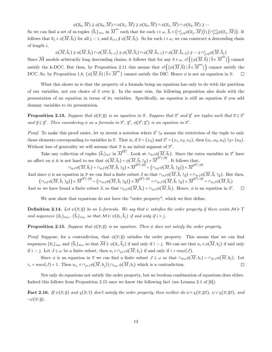$\phi(\overline{a}_0,\overline{M})\nsupseteq \phi(\overline{a}_0,\overline{M})\cap \phi(\overline{a}_1,\overline{M})\nsupseteq \phi(\overline{a}_0,\overline{M})\cap \phi(\overline{a}_1,\overline{M})\cap \phi(\overline{a}_2,\overline{M})\nsupseteq \cdots$ 

So we can find a set of m-tuples  $\{\bar{b}_i\}_{i\in\omega}$  in  $\overline{M}^m$  such that for each  $i \in \omega$ ,  $\bar{b}_i \in (\cap_{j=0}^i \phi(\overline{a}_j, \overline{M})) \setminus (\cap_{j=0}^{i+1} \phi(\overline{a}_j, \overline{M}))$ . It follows that  $\overline{a}_j \in \phi(\overline{M}, \overline{b}_i)$  for all  $j < i$ , and  $\overline{a}_{i+1} \notin \phi(\overline{M}, \overline{b}_i)$ . So for each  $i \in \omega$ , we can construct a descending chain of length i,

φ(M, bi) ⊋ φ(M, bi) ∩ φ(M, bi−<sup>1</sup>) ⊋ φ(M, bi) ∩ φ(M, bi−<sup>1</sup>) ∩ φ(M, bi−<sup>2</sup>) ⊋ ⋯ ⊋ ∩ i <sup>j</sup>=0φ(M, <sup>b</sup><sup>j</sup> )

Since  $\overline{\mathcal{M}}$  models arbitrarily long descending chains, it follows that for any  $k \in \omega$ ,  $cl(\{\phi(\overline{M}, \overline{b}) \mid \overline{b} \in \overline{M}^m\})$  cannot satisfy the k-DCC. But then, by Proposition 2.11 this means that  $cl(\{\phi(\overline{M},\overline{b})\mid \overline{b}\in \overline{M}^m\})$  cannot satisfy the DCC. So, by Proposition 1.8,  $\{\phi(\overline{M}, \overline{b}) \mid \overline{b} \in \overline{M}^m\}$  cannot satisfy the DIC. Hence  $\phi$  is not an equation in  $\overline{x}$ .  $\Box$ 

What this shows us is that the property of a formula being an equation has only to do with the partition of our variables, not our choice of  $\bar{x}$  over  $\bar{y}$ . In the same vein, the following proposition also deals with the presentation of an equation in terms of its variables. Specifically, an equation is still an equation if you add dummy variables to its presentation.

**Proposition 2.13.** Suppose that  $\phi(\overline{x}; \overline{y})$  is an equation in  $\overline{x}$ . Suppose that  $\overline{x}'$  and  $\overline{y}'$  are tuples such that  $\overline{x} \in \overline{x}'$ and  $\overline{y} \subseteq \overline{y}'$ . Then considering  $\phi$  as a formula in  $\overline{x}'$ ,  $\overline{y}'$ ,  $\phi(\overline{x}'; \overline{y}')$  is an equation in  $\overline{x}'$ .

*Proof.* To make this proof easier, let us invent a notation where  $\bar{a}' \upharpoonright_{\bar{x}}$  means the restriction of the tuple to only those elements corresponding to variables in  $\overline{x}$ . That is, if  $\overline{x} = (x_2)$  and  $\overline{x}' = (x_1, x_2, x_3)$ , then  $(a_1, a_2, a_3) \upharpoonright_{\overline{x}} = (a_2)$ . Without loss of generality we will assume that  $\bar{x}$  is an initial segment of  $\bar{x}'$ .

Take any collection of tuples  $\{\bar{b}_i\}_{i\in I}$  in  $\overline{M}^{|\overline{y}'|}$ . Look at  $\cap_{i\in I}\phi(\overline{M}, \overline{b}_i)$ . Since the extra variables in  $\overline{x}'$  have no affect on  $\phi$  it is not hard to see that  $\phi(\overline{M}, \overline{b}_i) = \phi(\overline{M}, \overline{b}_i \upharpoonright_{\overline{y}}) \times \overline{M}^{|\overline{x}'| - |\overline{x}|}$ . It follows that,  $\cap_{i\in I}\phi(\overline{M}, \overline{b}_{i}) = \cap_{i\in I}\phi(\overline{M}, \overline{b}_{i}\restriction_{\overline{y}})\times\overline{M}^{|\overline{x}'| - |\overline{\widetilde{x}}|} = \left(\cap_{i\in I}\phi(\overline{M}, \overline{b}_{i}\restriction_{\overline{y}})\right)\times\overline{M}^{|\overline{x}'| - |\overline{x}|}$ 

And since  $\phi$  is an equation in  $\overline{x}$  we can find a finite subset J so that  $\cap_{i\in I}\phi(\overline{M}, \overline{b}_i\upharpoonright_{\overline{y}}) = \cap_{i\in J}\phi(\overline{M}, \overline{b}_i\upharpoonright_{\overline{y}})$ . But then,  $\left(\cap_{i\in I}\phi(\overline{M}, \overline{b}_i\restriction_{\overline{y}})\right)\times\overline{M}^{|\overline{x}'| - |\overline{x}|} = \left(\cap_{i\in J}\phi(\overline{M}, \overline{b}_i\restriction_{\overline{y}})\right)\times\overline{M}^{|\overline{x}'| - |\overline{x}|} = \cap_{i\in J}\phi(\overline{M}, \overline{b}_i\restriction_{\overline{y}})\times\overline{M}^{|\overline{x}'| - |\overline{x}|} = \cap_{i\in J}\phi(\overline{M}, \overline{b}_i)$ 

And so we have found a finite subset J, so that  $\cap_{i\in I}\phi(M,b_i) = \cap_{i\in J}\phi(M,b_i)$ . Hence,  $\phi$  is an equation in  $\overline{x}'$ .  $\Box$ 

We now show that equations do not have the "order property", which we first define.

**Definition 2.14.** Let  $\psi(\overline{x}; \overline{y})$  be an L-formula. We say that  $\psi$  satisfies the order property if there exists  $\mathcal{M} \models T$ and sequences  $\{\overline{a}_i\}_{i\in\omega}$ ,  $\{b_i\}_{i\in\omega}$  so that  $\mathcal{M} \models \psi(\overline{a}_i, b_j)$  if and only if  $i > j$ .

**Proposition 2.15.** Suppose that  $\phi(\overline{x}; \overline{y})$  is an equation. Then  $\phi$  does not satisfy the order property.

*Proof.* Suppose, for a contradiction, that  $\phi(\overline{x}; \overline{y})$  satisfies the order property. This means that we can find sequences  $\{\overline{a}_i\}_{i\in\omega}$  and  $\{b_i\}_{i\in\omega}$  so that  $\mathcal{M} \models \phi(\overline{a}_i, b_j)$  if and only if  $i > j$ . We can see that  $a_i \in \phi(M, b_j)$  if and only if i > j. Let  $J \subseteq \omega$  be a finite subset, then  $a_i \in \cap_{j \in J} \phi(\overline{M}, b_j)$  if and only if  $i > max(J)$ .

Since  $\phi$  is an equation in  $\overline{x}$  we can find a finite subset  $J \subseteq \omega$  so that  $\cap_{i\in\omega}\phi(\overline{M}, b_i) = \cap_{j\in J}\phi(\overline{M}, b_j)$ . Let  $ax(J) + 1$ . Then  $a_i \in \cap_{i\in J}\phi(\overline{M}, b_i) \setminus \cap_{i\in\omega}\phi(\overline{M}, b_i)$  which is a contradiction.  $i_* = max(J) + 1$ . Then  $a_{i_*} \in \bigcap_{j \in J} \phi(M, b_j) \setminus \bigcap_{i \in \omega} \phi(M, b_i)$  which is a contradiction.

Not only do equations not satisfy the order property, but no boolean combination of equations does either. Indeed this follows from Proposition 2.15 once we know the following fact (see Lemma 2.1 of [6]).

Fact 2.16. If  $\psi(\overline{x}; \overline{y})$  and  $\chi(\overline{x}; \overline{z})$  don't satisfy the order property, then neither do  $\psi \wedge \chi(\overline{x}; \overline{yz})$ ,  $\psi \vee \chi(\overline{x}; \overline{yz})$ , and  $\neg\psi(\overline{x};\overline{y}).$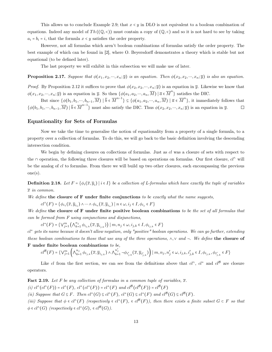This allows us to conclude Example 2.9; that  $x < y$  in DLO is not equivalent to a boolean combination of equations. Indeed any model of  $Th((\mathbb{Q},\leq))$  must contain a copy of  $(\mathbb{Q},\leq)$  and so it is not hard to see by taking  $a_i = b_i = i$ , that the formula  $x \leq y$  satisfies the order property.

However, not all formulas which aren't boolean combinations of formulas satisfy the order property. The best example of which can be found in [2], where O. Beyersdorff demonstrates a theory which is stable but not equational (to be defined later).

The last property we will exhibit in this subsection we will make use of later.

**Proposition 2.17.** Suppose that  $\phi(x_1, x_2, \dots, x_n; \overline{y})$  is an equation. Then  $\phi(x_2, x_2, \dots, x_n; \overline{y})$  is also an equation.

*Proof.* By Proposition 2.12 it suffices to prove that  $\phi(x_2, x_2, ..., x_n; \overline{y})$  is an equation in  $\overline{y}$ . Likewise we know that  $\phi(x_1, x_2, \dots, x_n; \overline{y})$  is an equation in  $\overline{y}$ . So then  $\{\phi(a_1, a_2, \dots, a_n, \overline{M}) \mid \overline{a} \in \overline{M}^n\}$  satisfies the DIC.

But since  $\{\phi(b_1, b_1, \dots, b_{n-1}, \overline{M}) \mid \overline{b} \in \overline{M}^{n-1}\}\subseteq \{\phi(a_1, a_2, \dots, a_n, \overline{M}) \mid \overline{a} \in \overline{M}^n\}$ , it immediately follows that  $\{\phi(b_1, b_1, \dots, b_{n-1}, \overline{M}) \mid \overline{b} \in \overline{M}^{n-1}\}\$  must also satisfy the DIC. Thus  $\phi(x_2, x_2, \dots, x_n; \overline{y})$  is an equation in  $\overline{y}$ .  $\Box$ 

#### Equationality for Sets of Formulas

Now we take the time to generalise the notion of equationality from a property of a single formula, to a property over a collection of formulas. To do this, we will go back to the basic definition involving the descending intersection condition.

We begin by defining closures on collections of formulas. Just as cl was a closure of sets with respect to the ∩ operation, the following three closures will be based on operations on formulas. Our first closure,  $cl^{\wedge}$  will be the analog of cl to formulas. From there we will build up two other closures, each encompassing the previous one(s).

**Definition 2.18.** Let  $F = \{\phi_i(\overline{x}, \overline{y}_i) | i \in I\}$  be a collection of L-formulas which have exactly the tuple of variables  $\overline{x}$  in common.

We define the closure of  $F$  under finite conjunctions to be exactly what the name suggests,

 $cl^{\wedge}(F) = \{ \phi_{i_1}(\overline{x}, \overline{y}_{i_1}) \wedge \cdots \wedge \phi_{i_n}(\overline{x}, \overline{y}_{i_n}) \mid n \in \omega, i_j \in I, \phi_{i_j} \in F \}$ 

We define the closure of F under finite positive boolean combinations to be the set of all formulas that can be formed from F using conjunctions and disjunctions,

 $cl^+(F) = \{ \vee_{j=1}^m \left( \wedge_{k=1}^{n_j} \right) \}$  $\left\{ \begin{matrix} n_j \\ k=1 \end{matrix} \phi_{i_{j,k}}(\overline{x}, \overline{y}_{i_{j,k}})\right\} | m, n_j \in \omega, i_{j,k} \in I, \phi_{i_{j,k}} \in F \}$ 

cl+ gets its name because it doesn't allow negation, only "positive" boolean operations. We can go further, extending these boolean combinations to those that use any of the three operations,  $\wedge, \vee$  and  $\neg$ . We define the closure of F under finite boolean combinations to be,

$$
cl^{\mathcal{B}}(F) = \{ \vee_{j=1}^{m} \left( \wedge_{k=1}^{n_j} \phi_{i_{j,k}}(\overline{x}, \overline{y}_{i_{j,k}}) \wedge \wedge_{k=1}^{n'_j} \neg \phi_{i'_{j,k}}(\overline{x}, \overline{y}_{i'_{j,k}}) \right) \mid m, n_j, n'_j \in \omega, i_{j,k}, i'_{j,k} \in I, \phi_{i_{j,k}}, \phi_{i'_{j,k}} \in F \}
$$

Like cl from the first section, we can see from the definitions above that  $cl^{\wedge}$ ,  $cl^+$  and  $cl^B$  are closure operators.

**Fact 2.19.** Let F be any collection of formulas in a common tuple of variables,  $\bar{x}$ .  $(i)$   $cl^{\wedge}(cl^{\wedge}(F)) = cl^{\wedge}(F)$ ,  $cl^+(cl^+(F)) = cl^+(F)$  and  $cl^{\mathcal{B}}(cl^{\mathcal{B}}(F)) = cl^{\mathcal{B}}(F)$ (ii) Suppose that  $G \subseteq F$ . Then  $cl^{\wedge}(G) \subseteq cl^{\wedge}(F)$ ,  $cl^+(G) \subseteq cl^+(F)$  and  $cl^{\mathcal{B}}(G) \subseteq cl^{\mathcal{B}}(F)$ .

(iii) Suppose that  $\phi \in cl^{\wedge}(F)$  (respectively  $\in cl^+(F)$ ,  $\in cl^{\mathcal{B}}(F)$ ), then there exists a finite subset  $G \subset F$  so that  $\phi \in cl^{\wedge}(G)$  (respectively  $\in cl^+(G)$ ,  $\in cl^{\mathcal{B}}(G)$ ).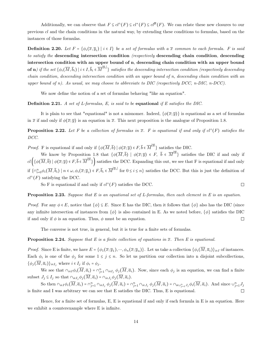Additionally, we can observe that  $F \subseteq cl^{\wedge}(F) \subseteq cl^{\neq}(F) \subseteq cl^{\beta}(F)$ . We can relate these new closures to our previous cl and the chain conditions in the natural way, by extending these conditions to formulas, based on the instances of those formulas.

**Definition 2.20.** Let  $F = \{\phi_i(\overline{x}, \overline{y}_i) \mid i \in I\}$  be a set of formulas with a  $\overline{x}$  common to each formula. F is said to satisfy the descending intersection condition (respectively descending chain condition, descending intersection condition with an upper bound of n, descending chain condition with an upper bound  ${\bf of~n}$ ) if the set  $\{\phi_i(\overline{M},\overline{b}_i)\ |\ i\in I,\overline{b}_i\in\overline{M}^{|\overline{y}_i|}\}$  satisfies the descending intersection condition (respectively descending chain condition, descending intersection condition with an upper bound of n, descending chain condition with an upper bound of n). As usual, we may choose to abbreviate to DIC (respectively DCC, n-DIC, n-DCC).

We now define the notion of a set of formulas behaving "like an equation".

**Definition 2.21.** A set of L-formulas, E, is said to be equational if E satisfies the DIC.

It is plain to see that "equational" is not a misnomer. Indeed,  $\{\phi(\bar{x}; \bar{y})\}$  is equational as a set of formulas in  $\bar{x}$  if and only if  $\phi(\bar{x}; \bar{y})$  is an equation in  $\bar{x}$ . This next proposition is the analogue of Proposition 1.8.

**Proposition 2.22.** Let F be a collection of formulas in  $\overline{x}$ . F is equational if and only if  $cl^{\wedge}(F)$  satisfies the DCC.

*Proof.* F is equational if and only if  $\{\phi(\overline{M}, \overline{b}) \mid \phi(\overline{x}; \overline{y}) \in F, \overline{b} \in \overline{M}^{|\overline{y}|}\}$  satisfies the DIC.

We know by Proposition 1.8 that  $\{\phi(\overline{M},\overline{b}) \mid \phi(\overline{x};\overline{y}) \in F, \overline{b} \in \overline{M}^{|\overline{y}|}\}$  satisfies the DIC if and only if  $cl\left(\{\phi(\overline{M},\overline{b})\mid \phi(\overline{x};\overline{y})\in F,\overline{b}\in \overline{M}^{|\overline{y}|}\}\right)$  satisfies the DCC. Expanding this out, we see that F is equational if and only if  $\{\cap_{i=0}^{n} \phi_i(\overline{M}, \overline{b}_i) \mid n \in \omega, \phi_i(\overline{x}; \overline{y}_i) \in F, \overline{b}_i \in \overline{M}^{|\overline{y}_i|} \}$  for  $0 \leq i \leq n\}$  satisfies the DCC. But this is just the definition of  $cl^{\wedge}(F)$  satisfying the DCC.

So F is equational if and only if  $cl^{\wedge}(F)$  satisfies the DCC.

**Proposition 2.23.** Suppose that E is an equational set of L-formulas, then each element in E is an equation.

*Proof.* For any  $\phi \in E$ , notice that  $\{\phi\} \subseteq E$ . Since E has the DIC, then it follows that  $\{\phi\}$  also has the DIC (since any infinite intersection of instances from  $\{\phi\}$  is also contained in E. As we noted before,  $\{\phi\}$  satisfies the DIC if and only if  $\phi$  is an equation. Thus,  $\phi$  must be an equation.  $\Box$ 

The converse is not true, in general, but it is true for a finite sets of formulas.

**Proposition 2.24.** Suppose that E is a finite collection of equations in  $\bar{x}$ . Then E is equational.

*Proof.* Since E is finite, we have  $E = \{\phi_1(\overline{x}; \overline{y}_1), \dots, \phi_n(\overline{x}; \overline{y}_n)\}\.$  Let us take a collection  $\{\phi_i(M, \overline{a}_i)\}_{i \in I}$  of instances. Each  $\phi_i$  is one of the  $\phi_j$  for some  $1 \leq j \leq n$ . So let us partition our collection into n disjoint subcollections,  $\{\phi_j(\overline{M}, \overline{a}_i)\}_{i \in I_j}$  where  $i \in I_j$  if  $\phi_i = \phi_j$ .

We see that  $\cap_{i\in I}\phi_i(\overline{M}, \overline{a}_i) = \cap_{j=1}^n \cap_{i\in I_j} \phi_j(\overline{M}, \overline{a}_i)$ . Now, since each  $\phi_j$  is an equation, we can find a finite subset  $J_j \subseteq I_j$  so that  $\cap_{i \in I_j} \phi_j(\overline{M}, \overline{a}_i) = \cap_{i \in J_j} \phi_j(\overline{M}, \overline{a}_i)$ .

So then  $\cap_{i\in I}\phi_i(\overline{M}, \overline{a}_i) = \cap_{j=1}^n \cap_{i\in I_j} \phi_j(\overline{M}, \overline{a}_i) = \cap_{j=1}^n \cap_{i\in J_j} \phi_j(\overline{M}, \overline{a}_i) = \cap_{i\in \bigcup_{j=1}^n J_j} \phi_i(\overline{M}, \overline{a}_i)$ . And since  $\cup_{j=1}^n J_j$ is finite and I was arbitrary we can see that E satisfies the DIC. Thus, E is equational.

Hence, for a finite set of formulas, E, E is equational if and only if each formula in E is an equation. Here we exhibit a counterexample where E is infinite.

 $\Box$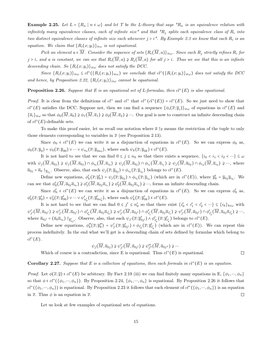**Example 2.25.** Let  $L = \{R_n \mid n \in \omega\}$  and let T be the L-theory that says " $R_n$  is an equivalence relation with infinitely many equivalence classes, each of infinite size" and that " $R_j$  splits each equivalence class of  $R_i$  into two distinct equivalence classes of infinite size each whenever  $j > i$ ". By Example 2.3 we know that each  $R_i$  is an equation. We claim that  ${R_i(x, y_i)}_{i \in \omega}$  is not equational.

Pick an element  $a \in \overline{M}$ . Consider the sequence of sets  $\{R_i(\overline{M},a)\}_{i\in\omega}$ . Since each  $R_j$  strictly refines  $R_i$  for j > i, and a is constant, we can see that  $R_i(\overline{M},a) \nsubseteq R_j(\overline{M},a)$  for all j > i. Thus we see that this is an infinite descending chain. So  ${R_i(x; y_i)}_{i \in \omega}$  does not satisfy the DCC.

Since  $\{R_i(x; y_i)\}_{i\in\omega} \subseteq cl \setminus (\{R_i(x; y_i)\}_{i\in\omega})$  we conclude that  $cl \setminus (\{R_i(x; y_i)\}_{i\in\omega})$  does not satisfy the DCC and hence, by Proposition 2.22,  $\{R_i(x; y_i)\}_{i\in\omega}$  cannot be equational.

**Proposition 2.26.** Suppose that E is an equational set of L-formulas, then  $cl^+(E)$  is also equational.

*Proof.* It is clear from the definitions of  $cl^{\wedge}$  and  $cl^+$  that  $cl^{\wedge} (cl^+(E)) = cl^+(E)$ . So we just need to show that  $cl^+(E)$  satisfies the DCC. Suppose not, then we can find a sequence  $\{\phi_i(\overline{x}; \overline{y}_i)\}_{i \in \omega}$  of equations in  $cl^+(E)$  and  ${\overline{a_i}}_{i\in\omega}$  so that  $\phi_0(\overline{M}, \overline{a}_0) \ncong \phi_1(\overline{M}, \overline{a}_1) \ncong \phi_2(\overline{M}, \overline{a}_2) \ncong \cdots$  Our goal is now to construct an infinite descending chain of  $cl^{\wedge}(E)$ -definable sets.

To make this proof easier, let us recall our notation where  $\bar{a} \uparrow_{\bar{x}}$  means the restriction of the tuple to only those elements corresponding to variables in  $\bar{x}$  (see Proposition 2.13).

Since  $\phi_0 \in cl^+(E)$  we can write it as a disjunction of equations in  $cl^{\wedge}(E)$ . So we can express  $\phi_0$  as,  $\phi_0(\overline{x}; \overline{y}_0) = \psi_0(\overline{x}; \overline{y}_{00}) \vee \cdots \vee \psi_{n_0}(\overline{x}; \overline{y}_{0n_0}),$  where each  $\psi_k(\overline{x}; \overline{y}_{0k}) \in cl^{\wedge}(E)$ .

It is not hard to see that we can find  $0 \le j \le n_0$  so that there exists a sequence,  $\{i_0 < i_1 < i_2 < \cdots\} \subseteq \omega$ with  $\psi_j(M, \overline{a}_{0j}) \ncong \psi_j(M, \overline{a}_{0j}) \cap \phi_{i_0}(M, \overline{a}_{i_0}) \ncong \psi_j(M, \overline{a}_{0j}) \cap \phi_{i_1}(M, \overline{a}_{i_1}) \ncong \psi_j(M, \overline{a}_{0j}) \cap \phi_{i_2}(M, \overline{a}_{i_2}) \ncong \cdots$ , where  $\overline{a}_{0j} = \overline{a}_{0} \upharpoonright_{\overline{y}_{0j}}$ . Observe, also, that each  $\psi_{j}(\overline{x}; \overline{y}_{0j}) \wedge \phi_{i_k}(\overline{x}; \overline{y}_{i_k})$  belongs to  $cl^+(E)$ .

Define new equations,  $\phi'_k(\overline{x}; \overline{y}'_k) = \psi_j(\overline{x}; \overline{y}_{0j}) \wedge \phi_{i_k}(\overline{x}; \overline{y}_{i_k})$  (which are in  $cl^+(E)$ ), where  $\overline{y}'_k = \overline{y}_{0j} \overline{y}_{i_k}$ . We can see that  $\phi'_0(M, \overline{a}_{0j}\overline{a}_{i_0}) \ncong \phi'_1(M, \overline{a}_{0j}\overline{a}_{i_1}) \ncong \phi'_2(M, \overline{a}_{0j}\overline{a}_{i_2}) \ncong \cdots$ , forms an infinite descending chain.

Since  $\phi'_0 \in cl^+(E)$  we can write it as a disjunction of equations in  $cl^{\wedge}(E)$ . So we can express  $\phi'_0$  as,  $\phi'_0(\overline{x}; \overline{y}'_0) = \psi'_0(\overline{x}; \overline{y}'_{00}) \vee \cdots \vee \psi'_{n'_0}(\overline{x}; \overline{y}'_{0n'_0}),$  where each  $\psi'_k(\overline{x}; \overline{y}'_{0k}) \in cl^{\wedge}(E)$ .

It is not hard to see that we can find  $0 \leq j' \leq n_0'$  so that there exist  $\{i'_0 \leq i'_1 \leq i'_2 \leq \cdots\} \subseteq \{i_k\}_{k \in \omega}$  with  $\psi'_{j'}(M, \overline{a}_{0j'}) \ncong \psi'_{j'}(M, \overline{a}_{0j'}) \cap \phi'_{i'_0}(M, \overline{a}_{0j} \overline{a}_{i'_0}) \ncong \psi'_{j'}(M, \overline{a}_{0j'}) \cap \phi'_{i'_1}(M, \overline{a}_{0j} \overline{a}_{i'_1}) \ncong \psi'_{j'}(M, \overline{a}_{0j'}) \cap \phi'_{i'_2}(M, \overline{a}_{0j} \overline{a}_{i'_2}) \ncong \cdots,$ where  $\overline{a}_{0j'} = (\overline{a}_0 \overline{a}_{i_0}) \upharpoonright_{\overline{y}'_{0j'}}$ . Observe, also, that each  $\psi_{j'}(\overline{x}; \overline{y}'_{0j'}) \wedge \phi'_{i'_k}(\overline{x}; \overline{y}'_{i'_k})$  belongs to  $cl^+(E)$ .

Define new equations,  $\phi''_k(\overline{x}; \overline{y}'_k) = \psi'_{j'}(\overline{x}; \overline{y}'_{0j'}) \wedge \phi_{i'_k}(\overline{x}; \overline{y}'_{i'_k})$  (which are in  $cl^+(E)$ ). We can repeat this process indefinitely. In the end what we'll get is a descending chain of sets defined by formulas which belong to  $cl^{\wedge}(E).$ 

$$
\psi_j(\overline{M},\overline{a}_{0j})\supsetneq\psi'_{j'}(\overline{M},\overline{a}_{0j'})\supsetneq\psi''_{j''}(\overline{M},\overline{a}_{0j''})\supsetneq\cdots
$$

Which of course is a contradiction, since E is equational. Thus  $cl^+(E)$  is equational.

#### **Corollary 2.27.** Suppose that E is a collection of equations, then each formula in  $cl^+(E)$  is an equation.

*Proof.* Let  $\phi(\bar{x}; \bar{y}) \in cl^+(E)$  be arbitrary. By Fact 2.19 (iii) we can find finitely many equations in E,  $\{\phi_1, \dots, \phi_n\}$ so that  $\phi \in cl^+(\{\phi_1,\dots,\phi_n\})$ . By Proposition 2.24,  $\{\phi_1,\dots,\phi_n\}$  is equational. By Proposition 2.26 it follows that  $cl^+(\{\phi_1,\dots,\phi_n\})$  is equational. By Proposition 2.23 it follows that each element of  $cl^+(\{\phi_1,\dots,\phi_n\})$  is an equation in  $\bar{x}$ . Thus  $\phi$  is an equation in  $\bar{x}$ .  $\Box$ 

Let us look at few examples of equational sets of equations.

 $\Box$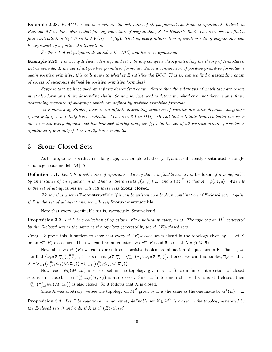**Example 2.28.** In ACF<sub>p</sub> (p=0 or a prime), the collection of all polynomial equations is equational. Indeed, in Example 2.5 we have shown that for any collection of polynomials, S, by Hilbert's Basis Theorem, we can find a finite subcollection  $S_0 \subseteq S$  so that  $V(S) = V(S_0)$ . That is, every intersection of solution sets of polynomials can be expressed by a finite subintersection.

So the set of all polynomials satisfies the DIC, and hence is equational.

Example 2.29. Fix a ring R (with identity) and let T be any complete theory extending the theory of R-modules. Let us consider E the set of all positive primilitve formulas. Since a conjunction of positive primitive formulas is again positive primitive, this boils down to whether  $E$  satisfies the DCC. That is, can we find a descending chain of cosets of subgroups defined by positive primitive formulas?

Suppose that we have such an infinite descending chain. Notice that the subgroups of which they are cosets must also form an infinite descending chain. So now we just need to determine whether or not there is an infinite descending sequence of subgroups which are defined by positive primitive formulas.

As remarked by Ziegler, there is no infinite descending sequence of positive primitive definable subgroups if and only if T is totally transcendental. (Theorem 2.1 in  $(11)$ ). (Recall that a totally transcendental theory is one in which every definable set has bounded Morley rank; see  $[4]$ .) So the set of all positive primite formulas is equational if and only if T is totally transcendental.

## 3 Srour Closed Sets

As before, we work with a fixed language, L, a complete L-theory, T, and a sufficiently  $\kappa$  saturated, strongly  $\kappa$  homogeneous model,  $\mathcal{M} \models T$ .

**Definition 3.1.** Let  $E$  be a collection of equations. We say that a definable set,  $X$ , is **E-closed** if it is definable by an instance of an equation in E. That is, there exists  $\phi(\overline{x};\overline{y}) \in E$ , and  $\overline{a} \in \overline{M}^{|\overline{y}|}$  so that  $X = \phi(\overline{M},\overline{a})$ . When E is the set of all equations we will call these sets Srour closed.

We say that a set is **E-constructible** if it can be written as a boolean combination of E-closed sets. Again, if  $E$  is the set of all equations, we will say **Srour-constructible**.

Note that every  $\varnothing$ -definable set is, vaccuously, Srour-closed.

**Proposition 3.2.** Let E be a collection of equations. Fix a natural number,  $n \in \omega$ . The topology on  $\overline{M}^n$  generated by the E-closed sets is the same as the topology generated by the  $cl^+(E)$ -closed sets.

*Proof.* To prove this, it suffices to show that every  $cl^+(E)$ -closed set is closed in the topology given by E. Let X be an  $cl^+(E)$ -closed set. Then we can find an equation  $\phi \in cl^+(E)$  and  $\overline{a}$ , so that  $X = \phi(M, \overline{a})$ .

Now, since  $\phi \in cl^+(E)$  we can express it as a positive boolean combination of equations in E. That is, we can find  $\{\psi_{ij}(\overline{x}; \overline{y}_{ij})\}_{i=1, j=1}^{n, n_i}$  in E so that  $\phi(\overline{x}; \overline{y}) = \bigvee_{i=1}^{n} (\wedge_{j=1}^{n_i} \psi_{ij}(\overline{x}; \overline{y}_{ij}))$ . Hence, we can find tuples,  $\overline{a}_{ij}$  so that  $X = \bigvee_{i=1}^{n} \left( \wedge_{j=1}^{n_i} \psi_{ij} \left( \overline{M}, \overline{a}_{ij} \right) \right) = \bigcup_{i=1}^{n} \left( \cap_{j=1}^{n_i} \psi_{ij} \left( \overline{M}, \overline{a}_{ij} \right) \right).$ 

Now, each  $\psi_{ij}(\overline{M}, \overline{a}_{ij})$  is closed set in the topology given by E. Since a finite intersection of closed sets is still closed, then  $\cap_{j=1}^{n_i} \psi_{ij}(\overline{M}, \overline{a}_{ij})$  is also closed. Since a finite union of closed sets is still closed, then  $\bigcup_{i=1}^n \left( \bigcap_{j=1}^{n_i} \psi_{ij}(\overline{M}, \overline{a}_{ij}) \right)$  is also closed. So it follows that X is closed.

Since X was arbitrary, we see the topology on  $\overline{M}^n$  given by E is the same as the one made by  $cl^+(E)$ .

**Proposition 3.3.** Let E be equational. A nonempty definable set  $X \subsetneq \overline{M}^n$  is closed in the topology generated by the E-closed sets if and only if X is  $cl^+(E)$ -closed.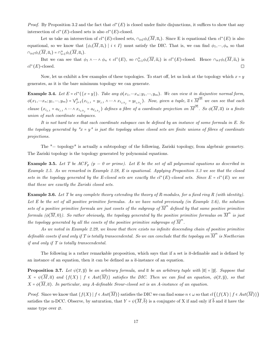*Proof.* By Proposition 3.2 and the fact that  $cl^+(E)$  is closed under finite disjunctions, it suffices to show that any intersection of  $cl^+(E)$ -closed sets is also  $cl^+(E)$ -closed.

Let us take an intersection of  $cl^+(E)$ -closed sets,  $\cap_{i\in I}\phi_i(M,\overline{a}_i)$ . Since E is equational then  $cl^+(E)$  is also equational, so we know that  $\{\phi_i(\overline{M}, \overline{a}_i) \mid i \in I\}$  must satisfy the DIC. That is, we can find  $\phi_1, \dots, \phi_n$  so that  $\cap_{i\in I}\phi_i(\overline{M},\overline{a}_i)=\cap_{i=1}^n\phi_i(\overline{M},\overline{a}_i).$ 

But we can see that  $\phi_1 \wedge \cdots \wedge \phi_n \in cl^+(E)$ , so  $\cap_{i=1}^n \phi_i(\overline{M}, \overline{a}_i)$  is  $cl^+(E)$ -closed. Hence  $\cap_{i \in I} \phi_i(\overline{M}, \overline{a}_i)$  is  $cl^+(E)$ -closed.

Now, let us exhibit a few examples of these topologies. To start off, let us look at the topology which  $x = y$ generates, as it is the bare minimum topology we can generate.

**Example 3.4.** Let  $E = cl^+(\{x = y\})$ . Take any  $\phi(x_1, \dots, x_n; y_1, \dots, y_m)$ . We can view it in disjuntive normal form,  $\phi(x_1,...x_n;y_1,...,y_m) = \bigvee_{j=1}^k (x_{i_{j,1}} - y_{\ell_{j,1}} \wedge \cdots \wedge x_{i_{j,k_j}} - y_{\ell_{j,k_j}}).$  Now, given a tuple,  $\overline{a} \in \overline{M}^{|\overline{y}|}$  we can see that each clause  $(x_{i_{j,1}} = a_{\ell_{j,1}} \wedge \cdots \wedge x_{i_{j,k_j}} = a_{\ell_{j,k_j}})$  defines a fibre of a coordinate projection on  $\overline{M}^{|\overline{x}|}$ . So  $\phi(\overline{M}, \overline{a})$  is a finite union of such coordinate subspaces.

It is not hard to see that each coordinate subspace can be defined by an instance of some formula in E. So the topology generated by " $x = y''$  is just the topology whose closed sets are finite unions of fibres of coordinate projections.

The "= topology" is actually a subtopology of the following, Zariski topology, from algebraic geometry. The Zariski topology is the topology generated by polynomial equations.

**Example 3.5.** Let T be  $ACF_p$  ( $p = 0$  or prime). Let E be the set of all polynomial equations as described in Example 2.5. As we remarked in Example 2.28, E is equational. Applying Proposition 3.3 we see that the closed sets in the topology generated by the E-closed sets are exactly the  $cl^+(E)$ -closed sets. Since  $E = cl^+(E)$  we see that these are exactly the Zariski closed sets.

**Example 3.6.** Let T be any complete theory extending the theory of R-modules, for a fixed ring R (with identity). Let E be the set of all positive primitive formulas. As we have noted previously (in Example 2.6), the solution sets of a positive primitive formula are just cosets of the subgroup of  $\overline{M}^n$  defined by that same positive primitive formula ( $\phi(\overline{M},0)$ ). So rather obviously, the topology generated by the positive primitive formulas on  $\overline{M}^n$  is just the topology generated by all the cosets of the positive primitive subgroups of  $\overline{M}^n$ .

As we noted in Example 2.29, we know that there exists no infinite descending chain of positive primitive definable cosets if and only if T is totally transcendental. So we can conclude that the topology on  $\overline{M}^n$  is Noetherian if and only if T is totally transcendental.

The following is a rather remarkable proposition, which says that if a set is  $\bar{a}$ -definable and is defined by an instance of an equation, then it can be defined as a  $\bar{a}$ -instance of an equation.

**Proposition 3.7.** Let  $\psi(\overline{x}, \overline{y})$  be an arbitrary formula, and  $\overline{a}$  be an arbitrary tuple with  $|\overline{a}| = |\overline{y}|$ . Suppose that  $X = \psi(\overline{M}, \overline{a})$  and  $\{f(X) \mid f \in Aut(\overline{M})\}$  satisfies the DIC. Then we can find an equation,  $\phi(\overline{x}, \overline{y})$ , so that  $X = \phi(\overline{M}, \overline{a})$ . In particular, any A-definable Srour-closed set is an A-instance of an equation.

*Proof.* Since we know that  $\{f(X) | f \in Aut(\overline{M})\}$  satisfies the DIC we can find some  $n \in \omega$  so that  $cl(\{f(X) | f \in Aut(\overline{M})\}$ satisfies the n-DCC. Observe, by saturation, that  $Y = \psi(\overline{M}, \overline{b})$  is a conjugate of X if and only if  $\overline{b}$  and  $\overline{a}$  have the same type over ∅.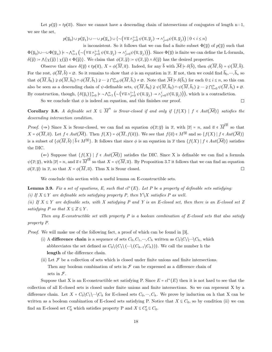Let  $p(\bar{y}) = tp(\bar{a})$ . Since we cannot have a descending chain of intersections of conjugates of length n+1, we see the set,

$$
p(\overline{y}_0) \cup p(\overline{y}_1) \cup \dots \cup p(\overline{y}_n) \cup \{ \neg (\forall \overline{u} \land_{j=0}^{i-1} \psi(\overline{u}, \overline{y}_j) \to \land_{j=0}^i \psi(\overline{u}, \overline{y}_j)) \mid 0 < i \le n \}
$$

is inconsistent. So it follows that we can find a finite subset  $\Phi(\overline{y})$  of  $p(\overline{y})$  such that  $\Phi(\overline{y}_0) \cup \cdots \cup \Phi(\overline{y}_n) \models \neg \Lambda_{i=1}^n (\neg (\forall \overline{u} \wedge_{j=0}^{i-1} \psi(\overline{u}, \overline{y}_j) \rightarrow \wedge_{j=0}^i \psi(\overline{u}, \overline{y}_j))).$  Since  $\Phi(\overline{y})$  is finite we can define the L-formula,  $\delta(\overline{y}) = \Lambda\{\chi(\overline{y}) \mid \chi(\overline{y}) \in \Phi(\overline{y})\}.$  We claim that  $\phi(\overline{x}, \overline{y}) = \psi(\overline{x}, \overline{y}) \wedge \delta(\overline{y})$  has the desired properties.

Observe that since  $\delta(\overline{y}) \in tp(\overline{a}), X = \phi(\overline{M}, \overline{a})$ . Indeed, for any  $\overline{b}$  with  $\overline{M} \models \delta(\overline{b})$ , then  $\phi(\overline{M}, \overline{b}) = \psi(\overline{M}, \overline{b})$ . For the rest,  $\phi(\overline{M}, \overline{b}) = \emptyset$ . So it remains to show that  $\phi$  is an equation in  $\overline{x}$ . If not, then we could find  $\overline{b}_0, \dots, \overline{b}_n$  so that  $\phi(\overline{M}, \overline{b}_0) \ncong \phi(\overline{M}, \overline{b}_0) \cap \phi(\overline{M}, \overline{b}_1) \ncong \dots \ncong \bigcap_{i=0}^n \phi(\overline{M}, \overline{b}_i) \neq \emptyset$ . Note that  $\overline{M} \models \delta(\overline{b}_i)$  for each  $0 \leq i \leq n$ , so this can also be seen as a descending chain of  $\psi$ -definable sets,  $\psi(\overline{M}, \overline{b}_0) \ncong \psi(\overline{M}, \overline{b}_0) \cap \psi(\overline{M}, \overline{b}_1) \ncong \dots \ncong \bigcap_{i=0}^n \psi(\overline{M}, \overline{b}_i) \neq \emptyset$ . By construction, though,  $\{\delta(\overline{y}_i)\}_{i=0}^n \models \neg \bigwedge_{i=1}^n \left(\neg \left(\forall \overline{u} \wedge_{j=0}^{i-1} \psi(\overline{u}, \overline{y}_j) \rightarrow \wedge_{j=0}^i \psi(\overline{u}, \overline{y}_j)\right)\right),$  which is a contradiction.

So we conclude that  $\phi$  is indeed an equation, and this finishes our proof.

 $\Box$ 

**Corollary 3.8.** A definable set  $X \subseteq \overline{M}^n$  is Srour-closed if and only if  $\{f(X) \mid f \in Aut(\overline{M})\}$  satisfies the descending intersection condition.

*Proof.* (⇒) Since X is Srour-closed, we can find an equation  $\phi(\overline{x}; \overline{y})$  in  $\overline{x}$ , with  $|\overline{x}| = n$ , and  $\overline{a} \in \overline{M}^{|\overline{y}|}$  so that  $X = \phi(\overline{M}, \overline{a})$ . Let  $f \in Aut(\overline{\mathcal{M}})$ . Then  $f(X) = \phi(\overline{M}, f(\overline{a}))$ . We see that  $f(\overline{a}) \in M^{|\overline{y}|}$  and so  $\{f(X) \mid f \in Aut(\overline{\mathcal{M}})\}$ is a subset of  $\{\phi(\overline{M}, \overline{b}) \mid \overline{b} \in M^{|\overline{y}|}\}$ . It follows that since  $\phi$  is an equation in  $\overline{x}$  then  $\{f(X) \mid f \in Aut(\overline{\mathcal{M}})\}$  satisfies the DIC.

(←) Suppose that  $\{f(X) | f \in Aut(\overline{\mathcal{M}})\}$  satisfies the DIC. Since X is definable we can find a formula  $\psi(\overline{x};\overline{y})$ , with  $|\overline{x}| = n$ , and  $\overline{a} \in \overline{M}^{|\overline{y}|}$  so that  $X = \psi(\overline{M}, \overline{a})$ . By Proposition 3.7 it follows that we can find an equation  $\phi(\overline{x}, \overline{y})$  in  $\overline{x}$ , so that  $X = \phi(\overline{M}, \overline{a})$ . Thus X is Srour closed.  $\Box$ 

We conclude this section with a useful lemma on E-constructible sets.

**Lemma 3.9.** Fix a set of equations, E, such that  $cl^+(E)$ . Let P be a property of definable sets satisfying: (i) If  $X \subseteq Y$  are definable sets satisfying property P, then  $Y \backslash X$  satisfies P as well.

(ii) If  $X \subseteq Y$  are definable sets, with X satisfying P and Y is an E-closed set, then there is an E-closed set Z satisfying P so that  $X \subseteq Z \subseteq Y$ .

Then any E-constructible set with property P is a boolean combination of E-closed sets that also satisfy property P.

Proof. We will make use of the following fact, a proof of which can be found in [3],

- (i) A difference chain is a sequence of sets  $C_0, C_1, ..., C_h$  written as  $C_0 \setminus C_1 \setminus ... \setminus C_h$ , which abbbreviates the set defined as  $C_0 \setminus (C_1 \setminus (\cdots \setminus (C_{h-1} \setminus C_h)))$ . We call the number h the length of the difference chain.
- (ii) Let  $\mathcal F$  be a collection of sets which is closed under finite unions and finite intersections. Then any boolean combination of sets in  $\mathcal F$  can be expressed as a difference chain of sets in  $\mathcal{F}.$

Suppose that X is an E-constructible set satisfying P. Since  $E = cl^+(E)$  then it is not hard to see that the collection of all E-closed sets is closed under finite unions and finite intersections. So we can represent X by a difference chain. Let  $X = C_0 \backslash C_1 \backslash \cdots \backslash C_h$  for E-closed sets  $C_0, \dots, C_h$ . We prove by induction on h that X can be written as a boolean combination of E-closed sets satisfying P. Notice that  $X \subseteq C_0$ , so by condition (ii) we can find an E-closed set  $C'_0$  which satisfies property P and  $X \subseteq C'_0 \subseteq C_0$ .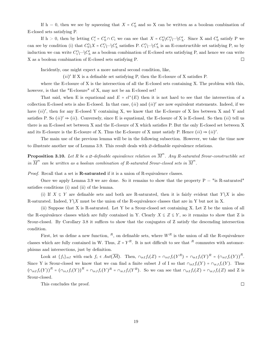If  $h = 0$ , then we see by squeezing that  $X = C'_0$  and so X can be written as a boolean combination of E-closed sets satisfying P.

If  $h > 0$ , then by letting  $C_i' = C_0' \cap C_i$  we can see that  $X = C_0' \setminus C_1' \setminus \dots \setminus C_h'$ . Since X and  $C_0'$  satisfy P we can see by condition (i) that  $C'_0 \setminus X = C'_1 \setminus \cdots \setminus C'_h$  satisfies P.  $C'_1 \setminus \cdots \setminus C'_h$  is an E-constructible set satisfying P, so by induction we can write  $C'_1 \backslash \cdots \backslash C'_h$  as a boolean combination of E-closed sets satisfying P, and hence we can write X as a boolean combination of E-closed sets satisfying P.  $\Box$ 

Incidently, one might expect a more natural second condition, like,

 $(ii)'$  If X is a definable set satisfying P, then the E-closure of X satisfies P.

where the E-closure of X is the intersection of all the E-closed sets containing X. The problem with this, however, is that the "E-closure" of X, may not be an E-closed set!

That said, when E is equational and  $E = cl^+(E)$  then it is not hard to see that the intersection of a collection E-closed sets is also E-closed. In that case,  $(ii)$  and  $(ii)'$  are now equivalent statements. Indeed, if we have  $(ii)'$ , then for any E-closed Y containing X, we know that the E-closure of X lies between X and Y and satisfies P. So  $(ii)' \Rightarrow (ii)$ . Conversely, since E is equational, the E-closure of X is E-closed. So then  $(ii)$  tell us there is an E-closed set between X and the E-closure of X which satisfies P. But the only E-closed set between X and its E-closure is the E-closure of X. Thus the E-closure of X must satisfy P. Hence  $(ii) \Rightarrow (ii)'$ .

The main use of the previous lemma will be in the following subsection. However, we take the time now to illustrate another use of Lemma 3.9. This result deals with ∅-definable equivalence relations.

**Proposition 3.10.** Let R be a  $\emptyset$ -definable equivalence relation on  $\overline{M}^n$ . Any R-saturated Srour-constructible set in  $\overline{M}^n$  can be written as a boolean combination of R-saturated Srour-closed sets in  $\overline{M}^n$ .

Proof. Recall that a set is **R-saturated** if it is a union of R-equivalence classes.

Once we apply Lemma 3.9 we are done. So it remains to show that the property  $P = "is R-saturated"$ satisfies conditions (i) and (ii) of the lemma.

(i) If  $X \subseteq Y$  are definable sets and both are R-saturated, then it is fairly evident that  $Y \setminus X$  is also R-saturated. Indeed,  $Y \backslash X$  must be the union of the R-equivalence classes that are in Y but not in X.

(ii) Suppose that X is R-saturated. Let Y be a Srour-closed set containing X. Let Z be the union of all the R-equivalence classes which are fully contained in Y. Clearly  $X \subseteq Z \subseteq Y$ , so it remains to show that Z is Srour-closed. By Corollary 3.8 it suffices to show that the conjugates of Z satisfy the descending intersection condition.

First, let us define a new function,  $^R$ , on definable sets, where  $W^R$  is the union of all the R-equivalence classes which are fully contained in W. Thus,  $Z = Y<sup>R</sup>$ . It is not difficult to see that  $R$  commutes with automorphisms and intersections, just by definition.

Look at  $\{f_i\}_{i\in I}$  with each  $f_i \in Aut(\overline{\mathcal{M}})$ . Then,  $\cap_{i\in I} f_i(Z) = \cap_{i\in I} f_i(Y^R) = \cap_{i\in I} f_i(Y)^R = (\cap_{i\in I} f_i(Y))^R$ . Since Y is Srour-closed we know that we can find a finite subset J of I so that  $\bigcap_{i\in I} f_i(Y) = \bigcap_{i\in J} f_i(Y)$ . Thus  $(\bigcap_{i\in I}f_i(Y))^R = (\bigcap_{i\in J}f_i(Y))^R = \bigcap_{i\in J}f_i(Y)^R = \bigcap_{i\in J}f_i(Y^R)$ . So we can see that  $\bigcap_{i\in I}f_i(Z) = \bigcap_{i\in J}f_i(Z)$  and Z is Srour-closed.

This concludes the proof.

 $\Box$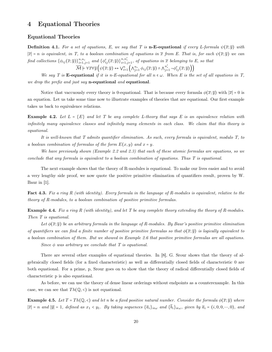## 4 Equational Theories

#### Equational Theories

**Definition 4.1.** For a set of equations, E, we say that T is **n-E-equational** if every L-formula  $\psi(\bar{x}; \bar{y})$  with  $|\overline{x}| = n$  is equivalent, in T, to a boolean combination of equations in  $\overline{x}$  from E. That is, for each  $\psi(\overline{x}; \overline{y})$  we can find collections  $\{\phi_{ij}(\overline{x};\overline{y})\}_{i=1,j=1}^{n,n_i}$  and  $\{\phi'_{ij}(\overline{x};\overline{y})\}_{i=1,j=1}^{n,n'_i}$ , of equations in  $\overline{x}$  belonging to E, so that

 $\overline{\mathcal{M}} \models \forall \overline{x} \forall \overline{y} \Big( \psi(\overline{x}; \overline{y}) \leftrightarrow \vee_{i=1}^{n} \Big( \wedge_{j=1}^{n_i} \phi_{ij}(\overline{x}; \overline{y}) \wedge \wedge_{j=1}^{n_i'} \neg \phi'_{ij}(\overline{x}; \overline{y}) \Big) \Big)$ 

We say T is **E-equational** if it is n-E-equational for all  $n \in \omega$ . When E is the set of all equations in T, we drop the prefix and just say **n-equational** and **equational**.

Notice that vaccuously every theory is 0-equational. That is because every formula  $\phi(\overline{x}; \overline{y})$  with  $|\overline{x}| = 0$  is an equation. Let us take some time now to illustrate examples of theories that are equational. Our first example takes us back to equivalence relations.

**Example 4.2.** Let  $L = \{E\}$  and let T be any complete L-theory that says E is an equivalence relation with infinitely many equivalence classes and infinitely many elements in each class. We claim that this theory is equational.

It is well-known that T admits quantifier elimination. As such, every formula is equivalent, modulo T, to a boolean combination of formulas of the form  $E(x, y)$  and  $x = y$ .

We have previously shown (Example 2.2 and 2.3) that each of these atomic formulas are equations, so we conclude that any formula is equivalent to a boolean combination of equations. Thus T is equational.

The next example shows that the theory of R-modules is equational. To make our lives easier and to avoid a very lengthy side proof, we now quote the positive primitive elimination of quantifiers result, proven by W. Baur in [1].

Fact 4.3. Fix a ring R (with identity). Every formula in the language of R-modules is equivalent, relative to the theory of R-modules, to a boolean combination of positive primitive formulas.

**Example 4.4.** Fix a ring R (with identity), and let T be any complete theory extending the theory of R-modules. Then T is equational.

Let  $\phi(\bar{x}; \bar{y})$  be an arbitrary formula in the language of R-modules. By Baur's positive primitive elimination of quantifiers we can find a finite number of positive primitive formulas so that  $\phi(\bar{x}; \bar{y})$  is logically equivalent to a boolean combination of them. But we showed in Example 2.6 that positive primitive formulas are all equations. Since  $\phi$  was arbitrary we conclude that T is equational.

There are several other examples of equational theories. In [8], G. Srour shows that the theory of algebraically closed fields (for a fixed characteristic) as well as differentially closed fields of characteristic 0 are both equational. For a prime, p, Srour goes on to show that the theory of radical differentially closed fields of characteristic p is also equational.

As before, we can use the theory of dense linear orderings without endpoints as a counterexample. In this case, we can see that  $Th(Q, \langle)$  is not equational.

**Example 4.5.** Let  $T = Th(\mathbb{Q}, \langle)$  and let n be a fixed positive natural number. Consider the formula  $\phi(\overline{x}; \overline{y})$  where  $|\overline{x}| = n$  and  $|\overline{y}| = 1$ , defined as  $x_1 < y_1$ . By taking sequences  $\{\overline{a}_i\}_{i\in\omega}$  and  $\{\overline{b}_i\}_{i\in\omega}$ , given by  $\overline{a}_i = (i, 0, 0, \dots, 0)$ , and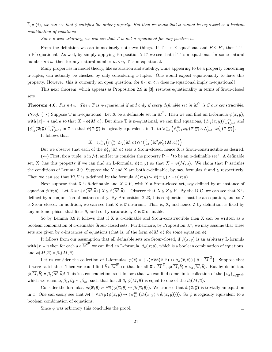$\bar{b}_i = (i)$ , we can see that  $\phi$  satisfies the order property. But then we know that  $\phi$  cannot be expressed as a boolean combination of equations.

Since n was arbitrary, we can see that  $T$  is not n-equational for any positive n.

From the definition we can immediately note two things. If T is n-E-equational and  $E \subseteq E'$ , then T is n-E′ -equational. As well, by simply applying Proposition 2.17 we see that if T is n-equational for some natural number  $n \in \omega$ , then for any natural number  $m \leq n$ , T is m-equational.

Many properties in model theory, like saturation and stability, while appearing to be a property concerning n-tuples, can actually be checked by only considering 1-tuples. One would expect equationality to have this property. However, this is currently an open question: for  $0 < m < n$  does m-equational imply n-equational?

This next theorem, which appears as Proposition 2.9 in [3], restates equationality in terms of Srour-closed sets.

**Theorem 4.6.** Fix  $n \in \omega$ . Then T is n-equational if and only if every definable set in  $\overline{M}^n$  is Srour constructible. *Proof.* ( $\Rightarrow$ ) Suppose T is n-equational. Let X be a definable set in  $\overline{M}^n$ . Then we can find an L-formula  $\psi(\overline{x}; \overline{y})$ , with  $|\overline{x}| = n$  and  $\overline{a}$  so that  $X = \phi(\overline{M}, \overline{a})$ . But since T is n-equational, we can find equations,  $\{\phi_{ij}(\overline{x}; \overline{y})\}_{i=1, j=1}^{n,n_i}$  and  $\{\phi'_{ij}(\overline{x};\overline{y})\}_{i=1,j=1}^{n,n'_i}$ , in  $\overline{x}$  so that  $\psi(\overline{x};\overline{y})$  is logically equivalent, in T, to  $\bigvee_{i=1}^n \left(\bigwedge_{j=1}^{n_i} \phi_{ij}(\overline{x},\overline{y}) \wedge \bigwedge_{j=1}^{n'_i} \neg \phi'_{ij}(\overline{x},\overline{y})\right)$ .

It follows that,

$$
X=\displaystyle\bigcup_{i=1}^n\left(\bigcap_{j=1}^{n_i}\phi_{ij}(\overline{M},\overline{a})\cap\bigcap_{j=1}^{n_i'}\left(\overline{M}\backslash\phi_{ij}'(\overline{M},\overline{a})\right)\right)
$$

But we observe that each of the  $\phi_{**}^*(M, \overline{a})$  sets is Srour-closed, hence X is Srour-constructible as desired.  $(\Leftarrow)$  First, fix a tuple,  $\overline{a}$  in  $\overline{\mathcal{M}}$ , and let us consider the property P = "to be an  $\overline{a}$ -definable set". A definable set, X, has this property if we can find an L-formula,  $\psi(\overline{x};\overline{y})$  so that  $X = \psi(\overline{M},\overline{a})$ . We claim that P satisfies the conditions of Lemma 3.9. Suppose the Y and X are both  $\bar{a}$ -definable, by, say, formulas  $\psi$  and  $\chi$  respectively. Then we can see that  $Y\setminus X$  is  $\overline{a}$ -defined by the formula  $\phi(\overline{x}; \overline{y}) := \psi(\overline{x}; \overline{y}) \wedge \neg \chi(\overline{x}; \overline{y}).$ 

Next suppose that X is  $\overline{a}$ -definable and  $X \subseteq Y$ , with Y a Srour-closed set, say defined by an instance of equation  $\phi(\overline{x}; \overline{y})$ . Let  $Z = \bigcap \{\phi(\overline{M}, \overline{b}) \mid X \subseteq \phi(\overline{M}, \overline{b})\}$ . Observe that  $X \subseteq Z \subseteq Y$ . By the DIC, we can see that Z is defined by a conjunction of instances of  $\phi$ . By Proposition 2.23, this conjunction must be an equation, and so Z is Srour-closed. In addition, we can see that Z is  $\bar{a}$ -invariant. That is, X, and hence Z by definition, is fixed by any automorphism that fixes  $\overline{a}$ , and so, by saturation, Z is  $\overline{a}$ -definable.

So by Lemma 3.9 it follows that if X is  $\bar{a}$ -definable and Srour-constructible then X can be written as a boolean combination of  $\overline{a}$ -definable Srour-closed sets. Furthermore, by Proposition 3.7, we may assume that these sets are given by  $\bar{a}$ -instances of equations (that is, of the form  $\phi(\overline{M}, \overline{a})$  for some equation  $\phi$ ).

It follows from our assumption that all definable sets are Srour-closed, if  $\phi(\bar{x}; \bar{y})$  is an arbitrary L-formula with  $|\overline{x}| = n$  then for each  $\overline{a} \in \overline{M}^{|\overline{y}|}$  we can find an L-formula,  $\beta_{\overline{a}}(\overline{x}; \overline{y})$ , which is a boolean combination of equations, and  $\phi(\overline{M}, \overline{a}) = \beta_{\overline{a}}(\overline{M}, \overline{a}).$ 

Let us consider the collection of L-formulas,  $p(\overline{z}) = \{\neg (\forall \overline{x} \phi(\overline{x}, \overline{z}) \leftrightarrow \beta_{\overline{\alpha}}(\overline{x}, \overline{z})) | \overline{a} \in \overline{M}^{|\overline{y}|} \}$ . Suppose that it were satisfiable. Then we could find  $\bar{b} \in \overline{M}^{|\overline{y}|}$  so that for all  $\bar{a} \in \overline{M}^{|\overline{y}|}$ ,  $\phi(\overline{M}, \overline{b}) \neq \beta_{\overline{a}}(\overline{M}, \overline{b})$ . But by definition,  $\phi(M, b) = \beta_{\overline{b}}(M, b)$ ! This is a contradiction, so it follows that we can find some finite collection of the  $\{\beta_{\overline{a}}\}_{\overline{a}\in\overline{M}}|_{\overline{v}}$ , which we rename,  $\beta_1, \beta_2, \dots, \beta_m$ , such that for all  $\overline{a}, \phi(\overline{M}, \overline{a})$  is equal to one of the  $\beta_i(\overline{M}, \overline{a})$ .

Consider the formulas,  $\delta_i(\overline{x}; \overline{y}) \coloneqq \forall \overline{u} (\phi(\overline{u}; \overline{y}) \leftrightarrow \beta_i(\overline{u}; \overline{y}))$ . We can see that  $\delta_i(\overline{x}; \overline{y})$  is trivially an equation in  $\overline{x}$ . One can easily see that  $\overline{\mathcal{M}} \models \forall \overline{x} \forall \overline{y} (\phi(\overline{x}; \overline{y}) \leftrightarrow (\forall_{i=1}^{m} (\beta_i(\overline{x}; \overline{y}) \land \delta_i(\overline{x}; \overline{y})))$ . So  $\phi$  is logically equivalent to a boolean combination of equations.

Since  $\phi$  was arbitrary this concludes the proof.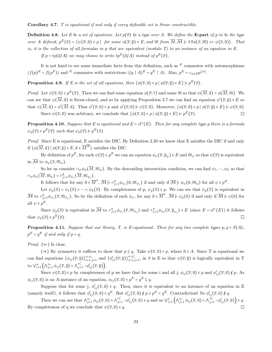Corollary 4.7. T is equational if and only if every definable set is Srour constructible.

**Definition 4.8.** Let E be a set of equations. Let  $p(\bar{x})$  be a type over A. We define the **E-part** of p to be the type over A defined,  $p^E(\overline{x}) = \{ \psi(\overline{x}, \overline{a}) \in p \mid \text{ for some } \phi(\overline{x}; \overline{y}) \in E \text{, and } \overline{m} \text{ from } \overline{M}, \overline{M} \models \forall \overline{x} \phi(\overline{x}, \overline{m}) \leftrightarrow \psi(\overline{x}, \overline{a}) \}.$  That is, it is the collection of all formulas in p that are equivalent (modulo T) to an instance of an equation in E.

If  $p = tp(\overline{a}/A)$  we may choose to write  $tp^E(\overline{a}/A)$  instead of  $p^E(\overline{x})$ .

It is not hard to see some immediate facts from this definition, such as  $E$  commutes with automorphisms  $(f(p)^E = f(p^E))$  and E commutes with restrictions  $((q \restriction A)^E = q^E \restriction A)$ . Also,  $p^E = \bigcup_{\phi \in E} p^{\{\phi\}}$ .

**Proposition 4.9.** If E is the set of all equations, then  $\{\phi(\overline{x}, \overline{a}) \in p \mid \phi(\overline{x}; \overline{y}) \in E\} \models p^E(\overline{x})$ .

Proof. Let  $\psi(\overline{x}, \overline{a}) \in p^E(\overline{x})$ . Then we can find some equation  $\phi(\overline{x}; \overline{z})$  and some  $\overline{m}$  so that  $\psi(\overline{M}, \overline{a}) = \phi(\overline{M}, \overline{m})$ . We can see that  $\psi(M,\overline{a})$  is Srour-closed, and so by applying Proposition 3.7 we can find an equation  $\phi'(\overline{x};\overline{y}) \in E$  so that  $\psi(M,\overline{a}) = \phi'(M,\overline{a})$ . Thus  $\phi'(\overline{x};\overline{a}) \in p$  and  $\phi'(\overline{x};\overline{a}) \models \psi(\overline{x},\overline{a})$ . Moreover,  $\{\phi(\overline{x},\overline{a}) \in p \mid \phi(\overline{x};\overline{y}) \in E\} \models \psi(\overline{x},\overline{a})$ Since  $\psi(\overline{x}, \overline{a})$  was arbitrary, we conclude that  $\{\phi(\overline{x}, \overline{a}) \in p \mid \phi(\overline{x}; \overline{y}) \in E\} \models p^E(\overline{x})$ .  $\Box$ 

**Proposition 4.10.** Suppose that E is equational and  $E = cl^{\wedge}(E)$ . Then for any complete type p there is a formula  $\psi_p(\overline{x}) \in p^E(\overline{x})$  such that  $\psi_p(\overline{x}) \models p^E(\overline{x})$ 

Proof. Since E is equational, E satisfies the DIC. By Definition 2.20 we know that E satisfies the DIC if and only if  $\{\phi(\overline{M}, \overline{a}) \mid \phi(\overline{x}; \overline{y}) \in E, \overline{a} \in \overline{M}^{|\overline{y}|}\}\)$  satisfies the DIC.

By definition of  $p^E$ , for each  $\psi(\overline{x}) \in p^E$  we can an equation  $\phi_{\psi}(\overline{x}, \overline{y}_{\psi}) \in E$  and  $\overline{m}_{\psi}$  so that  $\psi(\overline{x})$  is equivalent in  $\overline{\mathcal{M}}$  to  $\phi_{\psi}(\overline{x}, \overline{m}_{\psi}).$ 

So let us consider  $\cap_{\psi}\phi_{\psi}(\overline{M}, \overline{m}_{\psi})$ . By the descending intersection condition, we can find  $\psi_1, \dots, \psi_k$  so that  $\cap_{\psi}\phi_{\psi}(\overline{M},\overline{m}_{\psi})\circ \cap_{j=1}^k \phi_{\psi_j}(\overline{M},\overline{m}_{\psi_j}).$ 

It follows that for any  $\overline{a} \in \overline{M}^n$ ,  $\overline{\mathcal{M}} \models \wedge_{j=1}^k \phi_{\psi_j}(\overline{a}, \overline{m}_{\psi_j})$  if and only if  $\overline{\mathcal{M}} \models \phi_{\psi}(\overline{a}, \overline{m}_{\psi})$  for all  $\psi \in p^E$ .

Let  $\psi_p(\overline{x}) = \psi_1(\overline{x}) \wedge \cdots \wedge \psi_k(\overline{x})$ . By completeness of p,  $\psi_p(\overline{x}) \in p$ . We can see that  $\psi_p(\overline{x})$  is equivalent in  $\overline{\mathcal{M}}$  to  $\wedge_{j=1}^k \phi_{\psi_j}(\overline{x}, \overline{m}_{\psi_j})$ . So by the definition of each  $\phi_{\psi}$ , for any  $\overline{a} \in \overline{M}^n$ ,  $\overline{\mathcal{M}} \models \psi_p(\overline{a})$  if and only if  $\overline{\mathcal{M}} \models \psi(\overline{a})$  for all  $\psi \in p^E$ .

Since  $\psi_p(\overline{x})$  is equivalent in  $\overline{\mathcal{M}}$  to  $\wedge_{j=1}^k \phi_{\psi_j}(\overline{x}, \overline{m}_{\psi_j})$  and  $\wedge_{j=1}^k \phi_{\psi_j}(\overline{x}, \overline{y}_{\psi_j}) \in E$  (since  $E = cl^{\wedge}(E)$ ) it follows that  $\psi_p(\overline{x}) \in p^E(\overline{x})$ .  $\Box$ 

**Proposition 4.11.** Suppose that our theory, T, is E-equational. Then for any two complete types  $p, q \in S(A)$ ,  $p^E = q^E$  if and only if  $p = q$ .

*Proof.* ( $\Leftarrow$ ) Is clear.

(⇒) By symmetry it suffices to show that  $p \subseteq q$ . Take  $\psi(\overline{x}, \overline{a}) \in p$ , where  $\overline{a} \in A$ . Since T is equational we can find equations  $\{\phi_{ij}(\overline{x};\overline{y})\}_{i=1,j=1}^{n,n_i}$  and  $\{\phi'_{ij}(\overline{x};\overline{y})\}_{i=1,j=1}^{n,n_i'}$ , in  $\overline{x}$  in E so that  $\psi(\overline{x};\overline{y})$  is logically equivalent in T to  $\bigvee_{i=1}^{n} \left( \bigwedge_{j=1}^{n_i} \phi_{ij}(\overline{x}, \overline{y}) \wedge \bigwedge_{j=1}^{n'_i} \neg \phi'_{ij}(\overline{x}, \overline{y}) \right).$ 

Since  $\psi(\overline{x}, \overline{a}) \in p$  by completeness of p we have that for some i and all j,  $\phi_{ij}(\overline{x}, \overline{a}) \in p$  and  $\phi'_{ij}(\overline{x}, \overline{a}) \notin p$ . As  $\phi_{ij}(\overline{x}, \overline{a})$  is an A-instance of an equation,  $\phi_{ij}(\overline{x}, \overline{a}) \in p^E = q^E \subseteq q$ .

Suppose that for some j,  $\phi'_{ij}(\bar{x}, \bar{a}) \in q$ . Then, since it is equivalent to an instance of an equation in E (namely itself), it follows that  $\phi'_{ij}(\overline{x}, \overline{a}) \in q^E$ . But  $\phi'_{ij}(\overline{x}, \overline{a}) \notin p \supseteq p^E = q^E$ . Contradiction! So  $\phi'_{ij}(\overline{x}, \overline{a}) \notin q$ .

Then we can see that  $\bigwedge_{j=1}^{n_i} \phi_{ij}(\overline{x}, \overline{a}) \wedge \bigwedge_{j=1}^{n'_i} \neg \phi'_{ij}(\overline{x}, \overline{a}) \in q$  and so  $\bigvee_{i=1}^{n} \left( \bigwedge_{j=1}^{n_i} \phi_{ij}(\overline{x}, \overline{a}) \wedge \bigwedge_{j=1}^{n'_i} \neg \phi'_{ij}(\overline{x}, \overline{a}) \right) \in q$ . By completeness of q we conclude that  $\psi(\overline{x}, \overline{a}) \in q$ .  $\Box$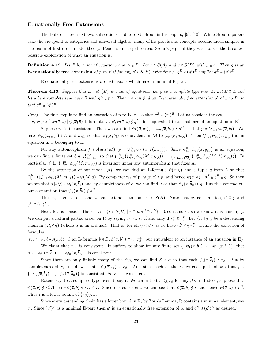#### Equationally Free Extensions

The bulk of these next two subsections is due to G. Srour in his papers, [9], [10]. While Srour's papers take the viewpoint of categories and universal algebra, many of his proofs and concepts become much simpler in the realm of first order model theory. Readers are urged to read Srour's paper if they wish to see the broadest possible exploration of what an equation is.

**Definition 4.12.** Let E be a set of equations and  $A \subseteq B$ . Let  $p \in S(A)$  and  $q \in S(B)$  with  $p \subseteq q$ . Then q is an E-equationally free extension of p to B if for any  $q' \in S(B)$  extending p,  $q^E \supseteq (q')^E$  implies  $q^E = (q')^E$ .

E-equationally free extensions are extensions which have a minimal E-part.

**Theorem 4.13.** Suppose that  $E = cl^+(E)$  is a set of equations. Let p be a complete type over A. Let  $B \supseteq A$  and let q be a complete type over B with  $q^E \supseteq p^E$ . Then we can find an E-equationally free extension  $q'$  of p to B, so that  $q^E \supseteq (q')^E$ .

*Proof.* The first step is to find an extension of p to B, r', so that  $q^E \supseteq (r')^E$ . Let us consider the set,

 $r_* \coloneqq p \cup \{\neg \psi(\overline{x}, \overline{b}) \mid \psi(\overline{x}; \overline{y}) \text{ L-formula}, \overline{b} \in B, \psi(\overline{x}, \overline{b}) \notin q^E, \text{ but equivalent to an instance of an equation in E}\}\$ Suppose  $r_*$  is inconsistent. Then we can find  $\psi_1(\overline{x}, \overline{b}_1), \dots, \psi_n(\overline{x}, \overline{b}_n) \notin q^E$  so that  $p \models \bigvee_{i=1}^n \psi_i(\overline{x}, \overline{b}_i)$ . We

have  $\phi_{\psi_i}(\overline{x}, \overline{y}_{\psi_i}) \in E$  and  $\overline{m}_{\psi_i}$  so that  $\psi_i(\overline{x}, \overline{b}_i)$  is equivalent in  $\overline{\mathcal{M}}$  to  $\phi_{\psi_i}(\overline{x}, \overline{m}_{\psi_i})$ . Then  $\bigvee_{i=1}^n \phi_{\psi_i}(\overline{x}, \overline{y}_{\psi_i})$  is an equation in  $\bar{x}$  belonging to E.

For any automorphism  $f \in Aut_A(\overline{M})$ ,  $p \models \bigvee_{i=1}^n \phi_{\psi_i}(\overline{x}, f(\overline{m}_{\psi_i}))$ . Since  $\bigvee_{i=1}^n \phi_{\psi_i}(\overline{x}, \overline{y}_{\psi_i})$  is an equation, we can find a finite set  $\{\overline{m}_{i,j}\}_{i=1,j=1}^{n,k}$  so that  $\bigcap_{j=1}^k (\bigcup_{i=1}^n \phi_{\psi_i}(\overline{M}, \overline{m}_{i,j})) = \bigcap_{f \in Aut_A(\overline{M})} (\bigcup_{i=1}^n \phi_{\psi_i}(\overline{M}, f(\overline{m}_{\psi_i})))$ . In particular,  $\bigcap_{j=1}^k (\bigcup_{i=1}^n \phi_{\psi_i}(\overline{M}, \overline{m}_{i,j}))$  is invariant under any automorphism that fixes A.

By the saturation of our model,  $\overline{\mathcal{M}}$ , we can find an L-formula  $\psi(\overline{x}; \overline{y})$  and a tuple  $\overline{a}$  from A so that  $\bigcap_{j=1}^k \left(\bigcup_{i=1}^n \phi_{\psi_i}(\overline{M}, \overline{m}_{i,j})\right) = \psi(\overline{M}, \overline{a})$ . By completeness of p,  $\psi(\overline{x}, \overline{a}) \in p$ , and hence  $\psi(\overline{x}, \overline{a}) \in p^E \subseteq q^E \subseteq q$ . So then we see that  $q \nvert \nabla_{i=1}^n \psi_i(\overline{x}, \overline{b}_i)$  and by completeness of q, we can find k so that  $\psi_k(\overline{x}, \overline{b}_k) \in q$ . But this contradicts our assumption that  $\psi_k(\overline{x}, \overline{b}_k) \notin q^E$ .

Thus  $r_*$  is consistent, and we can extend it to some  $r' \in S(B)$ . Note that by construction,  $r' \supseteq p$  and  $q^E \supseteq (r')^E$ .

Next, let us consider the set  $R = \{r \in S(B) \mid r \supseteq p, q^E \supseteq r^E\}$ . R contains r', so we know it is nonempty. We can put a natural partial order on R by saying  $r_1 \leq_R r_2$  if and only if  $r_1^E \subseteq r_2^E$ . Let  $\{r_\beta\}_{\beta < \alpha}$  be a descending chain in  $(R, \leq_R)$  (where  $\alpha$  is an ordinal). That is, for all  $\gamma < \beta < \alpha$  we have  $r_{\gamma}^E \leq_R r_{\beta}^E$ . Define the collection of formulas,

 $r_{**} := p \cup \{\neg \psi(\overline{x}, \overline{b}) \mid \psi \text{ an L-formula}, \overline{b} \in B, \psi(\overline{x}, \overline{b}) \notin \cap_{\beta \leq \alpha} r_{\beta}^E$ , but equivalent to an instance of an equation in E} We claim that  $r_{**}$  is consistent. It suffices to show for any finite set  $\{\neg \psi_1(\overline{x}, \overline{b}_1), \cdots, \neg \psi_n(\overline{x}, \overline{b}_n)\},\$ that

 $p \cup {\neg \psi_1(\overline{x}, \overline{b}_1), \dots, \neg \psi_n(\overline{x}, \overline{b}_n)}$  is consistent.

Since there are only finitely many of the  $\psi_i$ s, we can find  $\beta < \alpha$  so that each  $\psi_i(\bar{x}, \bar{b}_i) \notin r_\beta$ . But by completeness of  $r_\beta$  is follows that  $\neg\psi_i(\overline{x}, \overline{b}_i) \in r_\beta$ . And since each of the  $r_\gamma$  extends p it follows that  $p \cup$  $\{\neg \psi_1(\overline{x}, \overline{b}_1), \cdots, \neg \psi_n(\overline{x}, \overline{b}_n)\}\$ is consistent. So  $r_{**}$  is consistent.

Extend  $r_{**}$  to a complete type over B, say r. We claim that  $r \leq_R r_\beta$  for any  $\beta < \alpha$ . Indeed, suppose that  $\psi(\overline{x}, \overline{b}) \notin r_{\beta}^{E}$ . Then  $\neg \psi(\overline{x}, \overline{b}) \in r_{**} \subseteq r$ . Since r is consistent, we can see that  $\psi(\overline{x}, \overline{b}) \notin r$  and hence  $\psi(\overline{x}, \overline{b}) \notin r^{E}$ . Thus r is a lower bound of  $\{r_\beta\}_{\beta < \alpha}$ .

Since every descending chain has a lower bound in R, by Zorn's Lemma, R contains a minimal element, say q'. Since  $(q')^E$  is a minimal E-part then q' is an equationally free extension of p, and  $q^E \supseteq (q')^E$  as desired.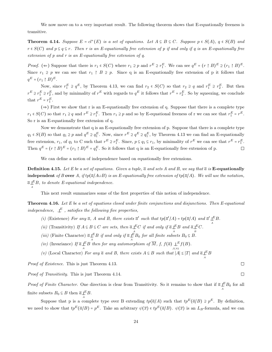We now move on to a very important result. The following theorem shows that E-equationally freeness is transitive.

**Theorem 4.14.** Suppose  $E = cl^+(E)$  is a set of equations. Let  $A \subseteq B \subseteq C$ . Suppose  $p \in S(A)$ ,  $q \in S(B)$  and  $r \in S(C)$  and  $p \subseteq q \subseteq r$ . Then r is an E-equationally free extension of p if and only if q is an E-equationally free extension of p and r is an E-equationally free extension of q.

*Proof.* ( $\Leftarrow$ ) Suppose that there is  $r_1 \in S(C)$  where  $r_1 \supseteq p$  and  $r^E \supseteq r_1^E$ . We can see  $q^E = (r \upharpoonright B)^E \supseteq (r_1 \upharpoonright B)^E$ . Since  $r_1 \geq p$  we can see that  $r_1 \upharpoonright B \supseteq p$ . Since q is an E-equationally free extension of p it follows that  $q^E = (r_1 \upharpoonright B)^E.$ 

Now, since  $r_1^E \supseteq q^E$ , by Theorem 4.13, we can find  $r_2 \in S(C)$  so that  $r_2 \supseteq q$  and  $r_1^E \supseteq r_2^E$ . But then  $r^E \ni r_1^E \ni r_2^E$ , and by minimality of  $r^E$  with regards to  $q^E$  it follows that  $r^E = r_2^E$ . So by squeezing, we conclude that  $r^E = r_1^E$ .

 $(⇒)$  First we show that r is an E-equationally free extension of q. Suppose that there is a complete type  $r_1 \in S(C)$  so that  $r_1 \supseteq q$  and  $r^E \supseteq r_1^E$ . Then  $r_1 \supseteq p$  and so by E-equational freeness of r we can see that  $r_1^E = r^E$ . So r is an E-equationally free extension of q.

Now we demonstrate that q is an E-equationally free extension of p. Suppose that there is a complete type  $q_1 \in S(B)$  so that  $q_1 \supseteq p$  and  $q^E \supseteq q_1^E$ . Now, since  $r^E \supseteq q^E \supseteq q_1^E$ , by Theorem 4.13 we can find an E-equationally free extension,  $r_1$ , of  $q_1$  to C such that  $r^E \supseteq r_1^E$ . Since,  $p \in q_1 \subseteq r_1$ , by minimality of  $r^E$  we can see that  $r^E = r_1^E$ . Then  $q^E = (r \upharpoonright B)^E = (r_1 \upharpoonright B)^E = q_1^E$ . So it follows that q is an E-equationally free extension of p.  $\Box$ 

We can define a notion of independence based on equationally free extensions.

**Definition 4.15.** Let E be a set of equations. Given a tuple,  $\bar{a}$  and sets A and B, we say that  $\bar{a}$  is **E-equationally** independent of B over A, if tp( $\overline{a}/A\cup B$ ) is an E-equationally free extension of tp( $\overline{a}/A$ ). We will use the notation,  $\overline{a} \mathcal{L}^E B$ , to denote E-equational independence. A

This next result summarizes some of the first properties of this notion of independence.

Theorem 4.16. Let E be a set of equations closed under finite conjunctions and disjunctions. Then E-equational independence,  $\mathcal{L}^E$  , satisfies the following five properties,

(i) (Existence) For any  $\overline{a}$ , A and B, there exists  $\overline{a}'$  such that  $tp(\overline{a}'/A) = tp(\overline{a}/A)$  and  $\overline{a}' \downarrow B$ .

(ii) (Transitivity) If  $A \subseteq B \subseteq C$  are sets, then  $\overline{a} \underset{A}{\downarrow}^E C$  if and only if  $\overline{a} \underset{A}{\downarrow}^E B$  and  $\overline{a} \underset{B}{\downarrow}^E C$ .

(iii) (Finite Character)  $\overline{a} \underset{A}{\downarrow}$   $\overline{E} B$  if and only if  $\overline{a} \underset{A}{\downarrow}$   $\overline{E} B_0$  for all finite subsets  $B_0 \subseteq B$ .

(iv) (Invariance) If 
$$
\overline{a} \underset{A}{\downarrow} B
$$
 then for any automorphism of  $\overline{M}$ , f,  $f(\overline{a}) \underset{f(A)}{\downarrow} \underset{f(A)}{\downarrow} f(B)$ .  
(v) (Local Character) For any  $\overline{a}$  and B, there exists  $A \subseteq B$  such that  $|A| \leq |T|$  and  $\overline{a} \underset{A}{\downarrow} B$ 

Proof of Existence. This is just Theorem 4.13.

Proof of Transitivity. This is just Theorem 4.14.

*Proof of Finite Character.* One direction is clear from Transitivity. So it remains to show that if  $\overline{a} \not\perp^E B_0$  for all A finite subsets  $B_0 \subseteq B$  then  $\overline{a} \underset{\sim}{\downarrow} B$ .

Suppose that p is a complete type over B extending  $tp(\overline{a}/A)$  such that  $tp^E(\overline{a}/B) \supseteq p^E$ . By definition, we need to show that  $tp^E(\overline{a}/B) = p^E$ . Take an arbitrary  $\psi(\overline{x}) \in tp^E(\overline{a}/B)$ .  $\psi(\overline{x})$  is an  $L_B$ -formula, and we can

 $\Box$ 

 $\Box$ 

A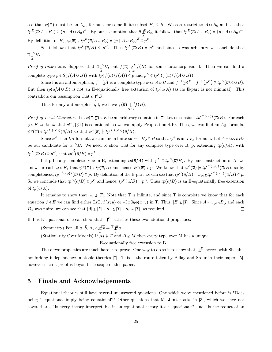see that  $\psi(\overline{x})$  must be an  $L_{B_0}$ -formula for some finite subset  $B_0 \subseteq B$ . We can restrict to  $A \cup B_0$  and see that  $tp^E(\overline{a}/A \cup B_0) \supseteq (p \upharpoonright A \cup B_0)^E$ . By our assumption that  $\overline{a} \bigcup_{\alpha}^E B_0$ , it follows that  $tp^E(\overline{a}/A \cup B_0) = (p \upharpoonright A \cup B_0)^E$ .

By definition of  $B_0$ ,  $\psi(\overline{x}) \in tp^E(\overline{a}/A \cup B_0) = (p \upharpoonright A \cup B_0)^E \stackrel{A}{\subseteq} p^E$ .

So it follows that  $tp^E(\overline{a}/B) \subseteq p^E$ . Thus  $tp^E(\overline{a}/B) = p^E$  and since p was arbitrary we conclude that  $\overline{a} \downarrow^E B$ .  $\Box$ A

*Proof of Invariance.* Suppose that  $\overline{a} \underset{A}{\downarrow} E B$ , but  $f(\overline{a}) \underset{f(A)}{\downarrow} E f(B)$  for some automorphism, f. Then we can find a complete type  $p \in S(f(A \cup B))$  with  $tp(f(\overline{a})/f(A)) \subseteq p$  and  $p^E \subseteq tp^E(f(\overline{a})/f(A \cup B))$ .

Since f is an automorphism,  $f^{-1}(p)$  is a complete type over  $A \cup B$  and  $f^{-1}(p)^E = f^{-1}(p^E) \varphi(p^E(\overline{a}/A \cup B))$ . But then  $tp(\overline{a}/A \cup B)$  is not an E-equationally free extension of  $tp(\overline{a}/A)$  (as its E-part is not minimal). This contradicts our assumption that  $\overline{a} \downarrow^E B$ .

Thus for any automorphism, f, we have  $f(\overline{a}) \underset{f(A)}{\downarrow} E f(B)$ .  $\Box$ 

Proof of Local Character. Let  $\phi(\overline{x}; \overline{y}) \in E$  be an arbitrary equation in  $\overline{x}$ . Let us consider  $tp^{cl^+(\{\phi\})}(\overline{a}/B)$ . For each  $\phi \in E$  we know that  $cl^+(\{\phi\})$  is equational, so we can apply Proposition 4.10. Thus, we can find an  $L_B$ -formula,  $\psi^{\phi}(\overline{x}) \in tp^{cl^+(\{\phi\})}(\overline{a}/B)$  so that  $\psi^{\phi}(\overline{x}) \models tp^{cl^+(\{\phi\})}(\overline{a}/B)$ .

Since  $\psi^{\phi}$  is an  $L_B$ -formula we can find a finite subset  $B_{\phi} \subseteq B$  so that  $\psi^{\phi}$  is an  $L_{B_{\phi}}$ -formula. Let  $A = \cup_{\phi \in E} B_{\phi}$ be our candidate for  $\overline{a} \downarrow^E B$ . We need to show that for any complete type over B, p, extending  $tp(\overline{a}/A)$ , with  $tp^E(\overline{a}/B) \supseteq p^E$ , that  $tp^{\stackrel{A}{E}}(\overline{a}/B) = p^E$ .

Let p be any complete type in B, extending  $tp(\overline{a}/A)$  with  $p^E \subseteq tp^E(\overline{a}/B)$ . By our construction of A, we know for each  $\phi \in E$ , that  $\psi^{\phi}(\overline{x}) \in tp(\overline{a}/A)$  and hence  $\psi^{\phi}(\overline{x}) \in p$ . We know that  $\psi^{\phi}(\overline{x}) \models tp^{cl^{\dagger}(\{\phi\})}(\overline{a}/B)$ , so by completeness,  $tp^{cl^+(\{\phi\})}(\overline{a}/B) \subseteq p$ . By definition of the E-part we can see that  $tp^E(\overline{a}/B) = \bigcup_{\phi \in E} tp^{cl^+(\{\phi\})}(\overline{a}/B) \subseteq p$ . So we conclude that  $tp^E(\overline{a}/B) \subseteq p^E$  and hence,  $tp^E(\overline{a}/B) = p^E$ . Thus  $tp(\overline{a}/B)$  is an E-equationally free extension of  $tp(\overline{a}/A)$ .

It remains to show that  $|A| \leq |T|$ . Note that T is infinite, and since T is complete we know that for each equation  $\phi \in E$  we can find either  $\exists \overline{x} \exists \overline{y} \phi(\overline{x}; \overline{y})$  or  $\neg \exists \overline{x} \exists \overline{y} \phi(\overline{x}; \overline{y})$  in T. Thus,  $|E| \leq |T|$ . Since  $A = \bigcup_{\phi \in E} B_{\phi}$  and each  $B_{\phi}$  was finite, we can see that  $|A| \leq |E| \times \aleph_0 \leq |T| \times \aleph_0 = |T|$ , as required.  $\Box$ 

If T is E-equational one can show that  $\downarrow^E$  satisfies these two additional properties:

(Symmetry) For all  $\overline{a}$ ,  $\overline{b}$ , A,  $\overline{a} \downarrow^E \overline{b} \Rightarrow \overline{b} \downarrow^E \overline{a}$ .

(Stationarity Over Models) If  $\mathcal{M} \models T$  and  $B \supseteq M$  then every type over M has a unique

E-equationally free extension to B.

These two properties are much harder to prove. One way to do so is to show that  $\downarrow^E$  agrees with Shelah's nonforking independence in stable theories [7]. This is the route taken by Pillay and Srour in their paper, [5], however such a proof is beyond the scope of this paper.

## 5 Finale and Acknowledgements

Equational theories still have several unanswered questions. One which we've mentioned before is "Does being 1-equational imply being equational?" Other questions that M. Junker asks in [3], which we have not covered are, "Is every theory interpretable in an equational theory itself equational?" and "Is the reduct of an